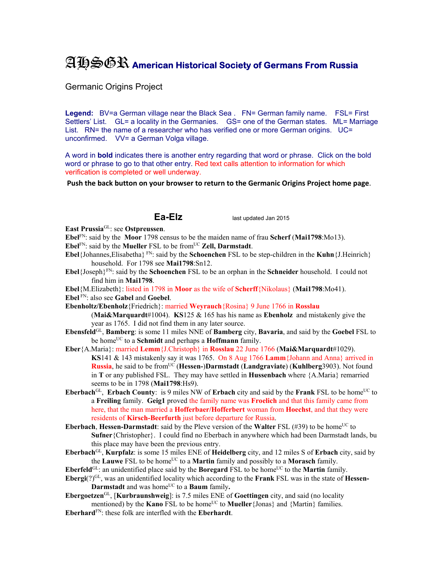## AHSGR **American Historical Society of Germans From Russia**

Germanic Origins Project

Legend: BV=a German village near the Black Sea . FN= German family name. FSL= First Settlers' List. GL= a locality in the Germanies. GS= one of the German states. ML= Marriage List. RN= the name of a researcher who has verified one or more German origins. UC= unconfirmed. VV= a German Volga village.

A word in **bold** indicates there is another entry regarding that word or phrase. Click on the bold word or phrase to go to that other entry. Red text calls attention to information for which verification is completed or well underway.

**Push the back button on your browser to return to the Germanic Origins Project home page**.

**Ea-Elz** last updated Jan 2015

**East Prussia**GL: see **Ostpreussen**.

**Ebel**FN: said by the **Moor** 1798 census to be the maiden name of frau **Scherf** (**Mai1798**:Mo13).

**Ebel**<sup>FN</sup>: said by the **Mueller** FSL to be from<sup>UC</sup> **Zell, Darmstadt**.

**Ebel**{Johannes,Elisabetha} FN: said by the **Schoenchen** FSL to be step-children in the **Kuhn**{J.Heinrich} household. For 1798 see **Mai1798**:Sn12.

**Ebel**{Joseph}FN: said by the **Schoenchen** FSL to be an orphan in the **Schneider** household. I could not find him in **Mai1798**.

**Ebel**{M.Elizabeth}: listed in 1798 in **Moor** as the wife of **Scherff**{Nikolaus} (**Mai1798**:Mo41). **Ebel** FN: also see **Gabel** and **Goebel**.

**Ebenholtz/Ebenholz**{Friedrich}: married **Weyrauch**{Rosina} 9 June 1766 in **Rosslau** (**Mai&Marquardt**#1004). **KS**125 & 165 has his name as **Ebenholz** and mistakenly give the

year as 1765. I did not find them in any later source.

- **Ebensfeld**GL, **Bamberg**: is some 11 miles NNE of **Bamberg** city, **Bavaria**, and said by the **Goebel** FSL to be homeUC to a **Schmidt** and perhaps a **Hoffmann** family.
- **Eber**{A.Maria}: married **Lemm**{J.Christoph} in **Rosslau** 22 June 1766 (**Mai&Marquardt**#1029). **KS**141 & 143 mistakenly say it was 1765. On 8 Aug 1766 **Lamm**{Johann and Anna} arrived in **Russia**, he said to be fromUC (**Hessen-**)**Darmstadt** (**Landgraviate**) (**Kuhlberg**3903). Not found in **T** or any published FSL. They may have settled in **Hussenbach** where {A.Maria} remarried seems to be in 1798 (**Mai1798**:Hs9).
- **Eberbach**<sup>GL</sup>, **Erbach County**: is 9 miles NW of **Erbach** city and said by the **Frank** FSL to be home<sup>UC</sup> to a **Freiling** family. **Geig1** proved the family name was **Froelich** and that this family came from here, that the man married a **Hofferbaer/Hofferbert** woman from **Hoechst**, and that they were residents of **Kirsch-Beerfurth** just before departure for Russia.

**Eberbach, Hessen-Darmstadt**: said by the Pleve version of the **Walter** FSL (#39) to be home<sup>UC</sup> to **Sufner**{Christopher}. I could find no Eberbach in anywhere which had been Darmstadt lands, bu this place may have been the previous entry.

**Eberbach**GL, **Kurpfalz**: is some 15 miles ENE of **Heidelberg** city, and 12 miles S of **Erbach** city, said by the **Lauwe** FSL to be home<sup>UC</sup> to a **Martin** family and possibly to a **Morasch** family.

**Eberfeld**<sup>GL</sup>: an unidentified place said by the **Boregard** FSL to be home<sup>UC</sup> to the **Martin** family.

**Ebergi**(?)GL, was an unidentified locality which according to the **Frank** FSL was in the state of **Hessen-Darmstadt** and was home<sup>UC</sup> to a **Baum** family.

**Ebergoetzen**GL, [**Kurbraunshweig**]: is 7.5 miles ENE of **Goettingen** city, and said (no locality mentioned) by the **Kano** FSL to be home<sup>UC</sup> to **Mueller**{Jonas} and {Martin} families.

**Eberhard**FN: these folk are interfled with the **Eberhardt**.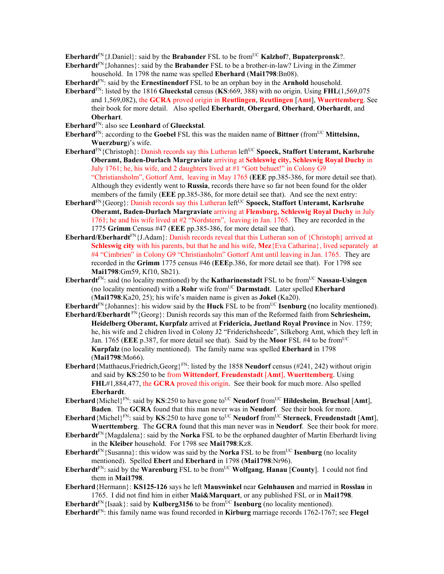**Eberhardt**<sup>FN</sup>{J.Daniel}: said by the **Brabander** FSL to be from<sup>UC</sup> **Kalzhof**?, **Bupaterpronsk**?.

**Eberhardt**FN{Johannes}: said by the **Brabander** FSL to be a brother-in-law? Living in the Zimmer household. In 1798 the name was spelled **Eberhard** (**Mai1798**:Bn08).

**Eberhardt**FN: said by the **Ernestinendorf** FSL to be an orphan boy in the **Arnhold** household.

- **Eberhard**FN: listed by the 1816 **Glueckstal** census (**KS**:669, 388) with no origin. Using **FHL**(1,569,075 and 1,569,082), the **GCRA** proved origin in **Reutlingen**, **Reutlingen** [**Amt**], **Wuerttemberg**. See their book for more detail. Also spelled **Eberhardt**, **Obergard**, **Oberhard**, **Oberhardt**, and **Oberhart**.
- **Eberhard**FN: also see **Leonhard** of **Glueckstal**.

**Eberhard**<sup>FN</sup>: according to the **Goebel** FSL this was the maiden name of **Bittner** (from<sup>UC</sup> **Mittelsinn, Wuerzburg**)'s wife.

- **Eberhard**<sup>FN</sup>{Christoph}: Danish records say this Lutheran left<sup>UC</sup> Spoeck, Staffort Unteramt, Karlsruhe **Oberamt, Baden-Durlach Margraviate** arriving at **Schleswig city, Schleswig Royal Duchy** in July 1761; he, his wife, and 2 daughters lived at  $#1$  "Gott behuet!" in Colony  $\overline{G}9$ "Christiansholm", Gottorf Amt, leaving in May 1765 (**EEE** pp.385-386, for more detail see that). Although they evidently went to **Russia**, records there have so far not been found for the older members of the family (**EEE** pp.385-386, for more detail see that). And see the next entry:
- Eberhard<sup>FN</sup>{Georg}: Danish records say this Lutheran left<sup>UC</sup> Spoeck, Staffort Unteramt, Karlsruhe **Oberamt, Baden-Durlach Margraviate** arriving at **Flensburg, Schleswig Royal Duchy** in July 1761; he and his wife lived at #2 "Nordstern", leaving in Jan. 1765. They are recorded in the 1775 **Grimm** Census #47 (**EEE** pp.385-386, for more detail see that).
- **Eberhard/Eberhardt**<sup>FN</sup>{J.Adam}: Danish records reveal that this Lutheran son of {Christoph} arrived at **Schleswig city** with his parents, but that he and his wife, **Mez**{Eva Catharina}, lived separately at #4 "Cimbrien" in Colony G9 "Christianholm" Gottorf Amt until leaving in Jan. 1765. They are recorded in the **Grimm** 1775 census #46 (**EEE**p.386, for more detail see that). For 1798 see **Mai1798**:Gm59, Kf10, Sb21).
- **Eberhardt**<sup>FN</sup>: said (no locality mentioned) by the **Katharinenstadt** FSL to be from<sup>UC</sup> **Nassau-Usingen** (no locality mentioned) with a **Rohr** wife fromUC **Darmstadt**. Later spelled **Eberhard** (**Mai1798**:Ka20, 25); his wife's maiden name is given as **Jokel** (Ka20).
- **Eberhardt**FN{Johannes}: his widow said by the **Huck** FSL to be fromUC **Isenburg** (no locality mentioned).
- **Eberhard/Eberhardt** FN{Georg}: Danish records say this man of the Reformed faith from **Schriesheim, Heidelberg Oberamt, Kurpfalz** arrived at **Fridericia, Juetland Royal Province** in Nov. 1759; he, his wife and 2 chidren lived in Colony J2 "Friderichsheede", Silkeborg Amt, which they left in Jan. 1765 (**EEE** p.387, for more detail see that). Said by the **Moor** FSL #4 to be fromUC **Kurpfalz** (no locality mentioned). The family name was spelled **Eberhard** in 1798 (**Mai1798**:Mo66).
- **Eberhard**{Matthaeus,Friedrich,Georg}FN: listed by the 1858 **Neudorf** census (#241, 242) without origin and said by **KS**:250 to be from **Wittendorf**, **Freudenstadt** [**Amt**], **Wuerttemberg**. Using **FHL**#1,884,477, the **GCRA** proved this origin. See their book for much more. Also spelled **Eberhardt**.
- **Eberhard**{Michel}<sup>FN</sup>: said by **KS**:250 to have gone to<sup>UC</sup> **Neudorf** from<sup>UC</sup> **Hildesheim**, **Bruchsal** [Amt], **Baden**. The **GCRA** found that this man never was in **Neudorf**. See their book for more.
- **Eberhard**{Michel}<sup>FN</sup>: said by **KS**:250 to have gone to<sup>UC</sup> **Neudorf** from<sup>UC</sup> **Sterneck**, **Freudenstadt** [Amt], **Wuerttemberg**. The **GCRA** found that this man never was in **Neudorf**. See their book for more.
- **Eberhardt**FN{Magdalena}: said by the **Norka** FSL to be the orphaned daughter of Martin Eberhardt living in the **Kleiber** household. For 1798 see **Mai1798**:Kz8.
- **Eberhardt**<sup>FN</sup>{Susanna}: this widow was said by the **Norka** FSL to be from<sup>UC</sup> **Isenburg** (no locality mentioned). Spelled **Ebert** and **Eberhard** in 1798 (**Mai1798**:Nr96).
- **Eberhardt**<sup>FN</sup>: said by the **Warenburg** FSL to be from<sup>UC</sup> **Wolfgang**, **Hanau [County**]. I could not find them in **Mai1798**.
- **Eberhard**{Hermann}: **KS125-126** says he left **Mauswinkel** near **Gelnhausen** and married in **Rosslau** in 1765. I did not find him in either **Mai&Marquart**, or any published FSL or in **Mai1798**.
- **Eberhardt**<sup>FN</sup>{Isaak}: said by **Kulberg3156** to be from<sup>UC</sup> **Isenburg** (no locality mentioned). **Eberhardt**FN: this family name was found recorded in **Kirburg** marriage records 1762-1767; see **Flegel**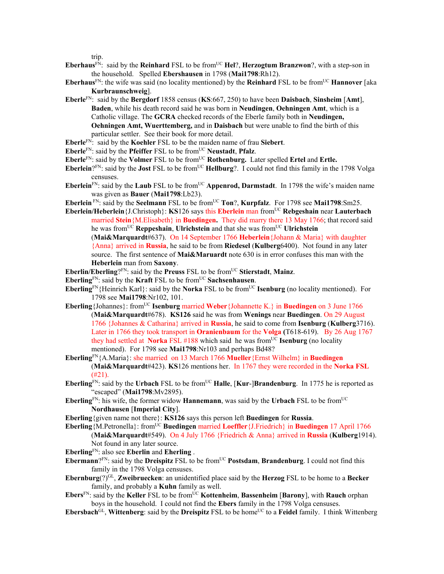trip.

- **Eberhaus**<sup>FN</sup>: said by the **Reinhard** FSL to be from<sup>UC</sup> **Hel**?, **Herzogtum Branzwon**?, with a step-son in the household. Spelled **Ebershausen** in 1798 (**Mai1798**:Rh12).
- **Eberhaus**<sup>FN</sup>: the wife was said (no locality mentioned) by the **Reinhard** FSL to be from<sup>UC</sup> **Hannover** [aka **Kurbraunschweig**].
- **Eberle**FN: said by the **Bergdorf** 1858 census (**KS**:667, 250) to have been **Daisbach**, **Sinsheim** [**Amt**], **Baden**, while his death record said he was born in **Neudingen**, **Oehningen Amt**, which is a Catholic village. The **GCRA** checked records of the Eberle family both in **Neudingen, Oehningen Amt, Wuerttemberg,** and in **Daisbach** but were unable to find the birth of this particular settler. See their book for more detail.
- **Eberle**FN: said by the **Koehler** FSL to be the maiden name of frau **Siebert**.
- **Eberle**FN: said by the **Pfeiffer** FSL to be fromUC **Neustadt**, **Pfalz**.
- Eberle<sup>FN</sup>: said by the **Volmer** FSL to be from<sup>UC</sup> **Rothenburg.** Later spelled Ertel and Ertle.
- **Eberlein**?FN: said by the **Jost** FSL to be from<sup>UC</sup> **Hellburg**?. I could not find this family in the 1798 Volga censuses.
- **Eberlein**<sup>FN</sup>: said by the **Laub** FSL to be from<sup>UC</sup> **Appenrod, Darmstadt**. In 1798 the wife's maiden name was given as **Bauer** (**Mai1798**:Lb23).
- **Eberlein** FN: said by the **Seelmann** FSL to be from<sup>UC</sup> **Ton**?, **Kurpfalz**. For 1798 see **Mai1798**:Sm25.
- **Eberlein/Heberlein**{J.Christoph}: **KS**126 says this **Eberlein** man fromUC **Rebgeshain** near **Lauterbach** married **Stein**{M.Elisabeth} in **Buedingen.** They did marry there 13 May 1766; that record said he was fromUC **Reppeshain**, **Ulrichstein** and that she was fromUC **Ulrichstein** 
	- (**Mai&Marquardt**#637). On 14 September 1766 **Heberlein**{Johann & Maria} with daughter {Anna} arrived in **Russia**, he said to be from **Riedesel** (**Kulberg**6400). Not found in any later source. The first sentence of **Mai&Maruardt** note 630 is in error confuses this man with the **Heberlein** man from **Saxony**.
- Eberlin/Eberling?<sup>FN</sup>: said by the Preuss FSL to be from<sup>UC</sup> Stierstadt, Mainz.
- **Eberling**FN: said by the **Kraft** FSL to be fromUC **Sachsenhausen**.
- **Eberling**FN{Heinrich Karl}: said by the **Norka** FSL to be from<sup>UC</sup> **Isenburg** (no locality mentioned). For 1798 see **Mai1798**:Nr102, 101.
- **Eberling**{Johannes}: from<sup>UC</sup> **Isenburg married Weber**{Johannette K.} in **Buedingen** on 3 June 1766 (**Mai&Marquardt**#678). **KS126** said he was from **Wenings** near **Buedingen**. On 29 August 1766 {Johannes & Catharina} arrived in **Russia**, he said to come from **Isenburg** (**Kulberg**3716). Later in 1766 they took transport in **Oranienbaum** for the **Volga (**T618-619). By 26 Aug 1767 they had settled at **Norka** FSL  $#188$  which said he was from<sup>UC</sup> **Isenburg** (no locality mentioned). For 1798 see **Mai1798**:Nr103 and perhaps Bd48?
- **Eberling**FN{A.Maria}: she married on 13 March 1766 **Mueller**{Ernst Wilhelm} in **Buedingen** (**Mai&Marquardt**#423). **KS**126 mentions her. In 1767 they were recorded in the **Norka FSL**  (#21).
- **Eberling**<sup>FN</sup>: said by the **Urbach** FSL to be from<sup>UC</sup> **Halle**, [**Kur-**]Brandenburg. In 1775 he is reported as "escaped" (**Mai1798**:Mv2895).
- **Eberling**FN: his wife, the former widow **Hannemann**, was said by the **Urbach** FSL to be fromUC **Nordhausen** [**Imperial City**].
- **Eberling**{given name not there}: **KS126** says this person left **Buedingen** for **Russia**.
- **Eberling**{M.Petronella}: fromUC **Buedingen** married **Loeffler**{J.Friedrich} in **Buedingen** 17 April 1766 (**Mai&Marquardt**#549). On 4 July 1766 {Friedrich & Anna} arrived in **Russia** (**Kulberg**1914). Not found in any later source.
- **Eberling**FN: also see **Eberlin** and **Eherling** .
- **Ebermann**?<sup>FN</sup>: said by the **Dreispitz** FSL to be from<sup>UC</sup> **Postsdam**, **Brandenburg**. I could not find this family in the 1798 Volga censuses.
- **Ebernburg**(?)GL, **Zweibruecken**: an unidentified place said by the **Herzog** FSL to be home to a **Becker**  family, and probably a **Kuhn** family as well.
- **Ebers**<sup>FN</sup>: said by the **Keller** FSL to be from<sup>UC</sup> **Kottenheim**, **Bassenheim** [**Barony**], with **Rauch** orphan boys in the household. I could not find the **Ebers** family in the 1798 Volga censuses.
- **Ebersbach**<sup>GL</sup>, **Wittenberg**: said by the **Dreispitz** FSL to be home<sup>UC</sup> to a **Feidel** family. I think Wittenberg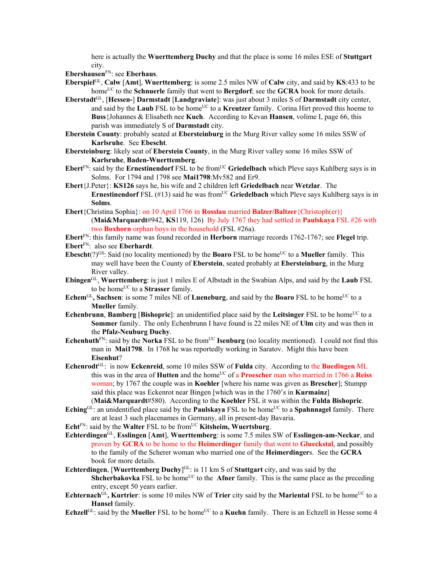here is actually the **Wuerttemberg Duchy** and that the place is some 16 miles ESE of **Stuttgart**  city.

**Ebershausen**FN: see **Eberhaus**.

- **Eberspiel**GL, **Calw** [Amt], **Wuerttemberg**: is some 2.5 miles NW of **Calw** city, and said by **KS**:433 to be home<sup>UC</sup> to the **Schnuerle** family that went to **Bergdorf**; see the **GCRA** book for more details.
- **Eberstadt**GL, [**Hessen-**] **Darmstadt** [**Landgraviate**]: was just about 3 miles S of **Darmstadt** city center, and said by the **Laub** FSL to be home<sup>UC</sup> to a **Kreutzer** family. Corina Hirt proved this hoeme to **Buss**{Johannes & Elisabeth nee **Kuch**.According to Kevan **Hansen**, volime I, page 66, this parish was immediately S of **Darmstadt** city.
- **Eberstein County**: probably seated at **Ebersteinburg** in the Murg River valley some 16 miles SSW of **Karlsruhe**. See **Ebescht**.
- **Ebersteinburg**: likely seat of **Eberstein County**, in the Murg River valley some 16 miles SSW of **Karlsruhe**, **Baden-Wuerttemberg**.
- **Ebert**<sup>FN</sup>: said by the **Ernestinendorf** FSL to be from<sup>UC</sup> Griedelbach which Pleve says Kuhlberg says is in Solms. For 1794 and 1798 see **Mai1798**:Mv582 and Er9.
- **Ebert**{J.Peter}: **KS126** says he, his wife and 2 children left **Griedelbach** near **Wetzlar**. The **Ernestinendorf** FSL ( $#13$ ) said he was from<sup>UC</sup> Griedelbach which Pleve says Kuhlberg says is in **Solms**.
- **Ebert**{Christina Sophia}: on 10 April 1766 in **Rosslau** married **Balzer/Baltzer**{Christoph(er)} (**Mai&Marquardt**#942, **KS**119, 126) By July 1767 they had settled in **Paulskaya** FSL #26 with two **Boxhorn** orphan boys in the household (FSL #26a).

**Ebert**FN: this family name was found recorded in **Herborn** marriage records 1762-1767; see **Flegel** trip. **Ebert**FN: also see **Eberhardt**.

- **Ebescht** $(?)^{GS}$ : Said (no locality mentioned) by the **Boaro** FSL to be home<sup>UC</sup> to a **Mueller** family. This may well have been the County of **Eberstein**, seated probably at **Ebersteinburg**, in the Murg River valley.
- **Ebingen**GL, **Wuerttemberg**: is just 1 miles E of Albstadt in the Swabian Alps, and said by the **Laub** FSL to be home<sup>UC</sup> to a **Strasser** family.
- **Echem<sup>GL</sup>, Sachsen**: is some 7 miles NE of **Lueneburg**, and said by the **Boaro** FSL to be home<sup>UC</sup> to a **Mueller** family.
- **Echenbrunn**, **Bamberg** [Bishopric]: an unidentified place said by the Leitsinger FSL to be home<sup>UC</sup> to a **Sommer** family. The only Echenbrunn I have found is 22 miles NE of **Ulm** city and was then in the **Pfalz-Neuburg Duchy**.
- **Echenhuth**<sup>FN</sup>: said by the **Norka** FSL to be from<sup>UC</sup> **Isenburg** (no locality mentioned). I could not find this man in **Mai1798**. In 1768 he was reportedly working in Saratov. Might this have been **Eisenhut**?
- **Echenrodt**GL: is now **Eckenreid**, some 10 miles SSW of **Fulda** city. According to the **Buedingen** ML this was in the area of **Hutten** and the home<sup>UC</sup> of a **Proescher** man who married in 1766 a **Reiss** woman; by 1767 the couple was in **Koehler** [where his name was given as **Brescher**]; Stumpp said this place was Eckenrot near Bingen [which was in the 1760's in **Kurmainz**] (**Mai&Marquardt**#580). According to the **Koehler** FSL it was within the **Fulda Bishopric**.

 $\mathbf{Eching}^{\text{GL}}$ : an unidentified place said by the **Paulskaya** FSL to be home<sup>UC</sup> to a **Spahnnagel** family. There

- are at least 3 such placenames in Germany, all in present-day Bavaria.
- **Echt**<sup>FN</sup>: said by the **Walter** FSL to be from<sup>UC</sup> **Kitsheim, Wuertsburg**.
- **Echterdingen**GL, **Esslingen** [**Amt**], **Wuerttemberg**: is some 7.5 miles SW of **Esslingen-am-Neckar**, and proven by **GCRA** to be home to the **Heimerdinger** family that went to **Glueckstal**, and possibly to the family of the Scherer woman who married one of the **Heimerdinger**s. See the **GCRA** book for more details.
- **Echterdingen**, [**Wuerttemberg Duchy**] GL: is 11 km S of **Stuttgart** city, and was said by the **Shcherbakovka** FSL to be home<sup>UC</sup> to the **Afner** family. This is the same place as the preceding entry, except 50 years earlier.
- **Echternach**GL, **Kurtrier**: is some 10 miles NW of **Trier** city said by the **Mariental** FSL to be home<sup>UC</sup> to a **Hansel** family.
- **Echzell**GL: said by the **Mueller** FSL to be home<sup>UC</sup> to a **Kuehn** family. There is an Echzell in Hesse some 4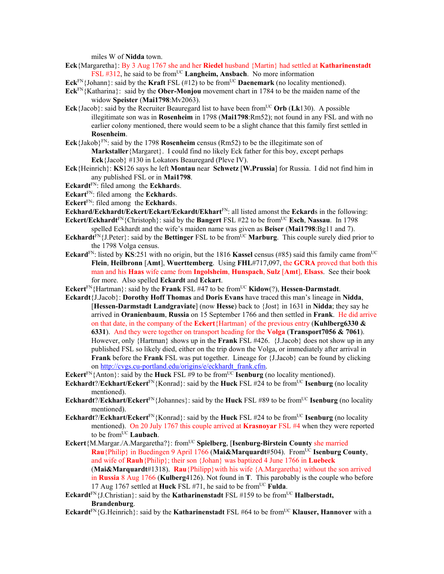miles W of **Nidda** town.

**Eck**{Margaretha}: By 3 Aug 1767 she and her **Riedel** husband {Martin} had settled at **Katharinenstadt** FSL  $\#312$ , he said to be from<sup>UC</sup> Langheim, Ansbach. No more information

- **Eck**FN{Johann}: said by the **Kraft** FSL  $(\#12)$  to be from<sup>UC</sup> **Daenemark** (no locality mentioned).
- **Eck**FN{Katharina}: said by the **Ober-Monjou** movement chart in 1784 to be the maiden name of the widow **Speister** (**Mai1798**:Mv2063).
- **Eck** {Jacob}: said by the Recruiter Beauregard list to have been from<sup>UC</sup> Orb (Lk130). A possible illegitimate son was in **Rosenheim** in 1798 (**Mai1798**:Rm52); not found in any FSL and with no earlier colony mentioned, there would seem to be a slight chance that this family first settled in **Rosenheim**.
- **Eck**{Jakob}FN: said by the 1798 **Rosenheim** census (Rm52) to be the illegitimate son of **Markstaller**{Margaret}. I could find no likely Eck father for this boy, except perhaps **Eck**{Jacob} #130 in Lokators Beauregard (Pleve IV).
- **Eck**{Heinrich}: **KS**126 says he left **Montau** near **Schwetz** [**W.Prussia**] for Russia. I did not find him in any published FSL or in **Mai1798**.
- **Eckardt**FN: filed among the **Eckhard**s.
- **Eckart**FN: filed among the **Eckhard**s.
- **Eckert**FN: filed among the **Eckhard**s.
- **Eckhard/Eckhardt/Eckert/Eckart/Eckardt/Ekhart**FN: all listed amonst the **Eckard**s in the following: **Eckert/Eckhardt**<sup>FN</sup>{Christoph}: said by the **Bangert** FSL  $\#22$  to be from<sup>UC</sup> **Esch**, **Nassau**. In 1798
- spelled Eckhardt and the wife's maiden name was given as **Beiser** (**Mai1798**:Bg11 and 7).
- **Eckhardt**<sup>FN</sup>{J.Peter}: said by the **Bettinger** FSL to be from<sup>UC</sup> **Marburg**. This couple surely died prior to the 1798 Volga census.
- **Eckard**<sup>FN</sup>: listed by **KS**:251 with no origin, but the 1816 **Kassel** census (#85) said this family came from<sup>UC</sup> **Flein**, **Heilbronn** [**Amt**], **Wuerttemberg**. Using **FHL**#717,097, the **GCRA** proved that both this man and his **Haas** wife came from **Ingolsheim**, **Hunspach**, **Sulz** [**Amt**], **Elsass**. See their book for more. Also spelled **Eckardt** and **Eckart**.
- **Eckert**FN{Hartman}: said by the **Frank** FSL #47 to be fromUC **Kidow**(?), **Hessen-Darmstadt**.
- **Eckardt**{J.Jacob}: **Dorothy Hoff Thomas** and **Doris Evans** have traced this man's lineage in **Nidda**, [**Hessen-Darmstadt Landgraviate**] (now **Hesse**) back to {Jost} in 1631 in **Nidda**; they say he arrived in **Oranienbaum**, **Russia** on 15 September 1766 and then settled in **Frank**. He did arrive on that date, in the company of the **Eckert**{Hartman} of the previous entry (**Kuhlberg6330 & 6331**). And they were together on transport heading for the **Volga** (**Transport7056 & 7061**). However, only {Hartman} shows up in the **Frank** FSL #426. {J.Jacob} does not show up in any published FSL so likely died, either on the trip down the Volga, or immediately after arrival in **Frank** before the **Frank** FSL was put together. Lineage for {J.Jacob} can be found by clicking on http://cvgs.cu-portland.edu/origins/e/eckhardt\_frank.cfm.
- **Eckert**<sup>FN</sup>{Anton}: said by the **Huck** FSL #9 to be from<sup>UC</sup> **Isenburg** (no locality mentioned).
- **Eckhardt**?/**Eckhart/Eckert** $F_N$ {Konrad}: said by the **Huck** FSL #24 to be from<sup>UC</sup> **Isenburg** (no locality mentioned).
- **Eckhardt**?/**Eckhart/Eckert** $F_N$ {Johannes}: said by the **Huck** FSL #89 to be from<sup>UC</sup> **Isenburg** (no locality mentioned).
- **Eckhardt**?/**Eckhart/Eckert**<sup>FN</sup>{Konrad}: said by the **Huck** FSL #24 to be from<sup>UC</sup> **Isenburg** (no locality mentioned). On 20 July 1767 this couple arrived at **Krasnoyar** FSL #4 when they were reported to be from<sup>UC</sup> Laubach.
- **Eckert**{M.Margar./A.Margaretha?}: from<sup>UC</sup> Spielberg, [Isenburg-Birstein County she married **Rau**{Philip} in Buedingen 9 April 1766 (**Mai&Marquardt**#504). FromUC **Isenburg County**, and wife of **Rauh**{Philip}; their son {Johan} was baptized 4 June 1766 in **Luebeck**  (**Mai&Marquardt**#1318). **Rau**{Philipp}with his wife {A.Margaretha} without the son arrived in **Russia** 8 Aug 1766 (**Kulberg**4126). Not found in **T**. This parobably is the couple who before 17 Aug 1767 settled at **Huck** FSL #71, he said to be fromUC **Fulda**.
- **Eckardt**<sup>FN</sup>{J.Christian}: said by the **Katharinenstadt** FSL #159 to be from<sup>UC</sup> **Halberstadt**, **Brandenburg**.
- **Eckardt**<sup>FN</sup>{G.Heinrich}: said by the **Katharinenstadt** FSL #64 to be from<sup>UC</sup> **Klauser, Hannover** with a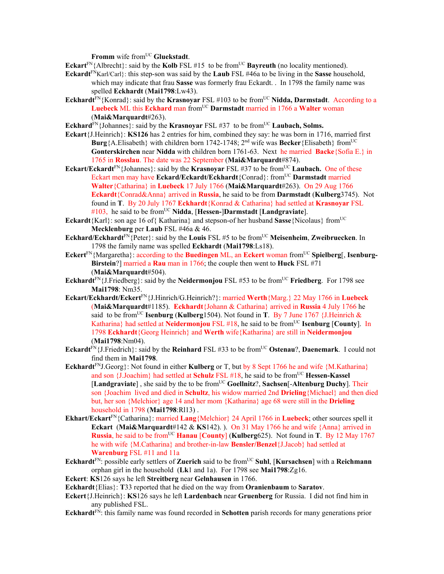**Fromm** wife from<sup>UC</sup> Gluekstadt.

**Eckart**<sup>FN</sup>{Albrecht}: said by the **Kolb** FSL #15 to be from<sup>UC</sup> **Bayreuth** (no locality mentioned).

- **Eckardt**FNKarl/Carl}: this step-son was said by the **Laub** FSL #46a to be living in the **Sasse** household, which may indicate that frau **Sasse** was formerly frau Eckardt. . In 1798 the family name was spelled **Eckhardt** (**Mai1798**:Lw43).
- **Eckhardt**<sup>FN</sup>{Konrad}: said by the **Krasnoyar** FSL #103 to be from<sup>UC</sup> Nidda, Darmstadt. According to a Luebeck ML this **Eckhard** man from<sup>UC</sup> Darmstadt married in 1766 a Walter woman (**Mai&Marquardt**#263).

**Eckhard** $\text{FN}\{\text{Johannes}\}$ : said by the **Krasnoyar** FSL #37 to be from<sup>UC</sup> **Laubach, Solms.** 

- **Eckart**{J.Heinrich}: **KS126** has 2 entries for him, combined they say: he was born in 1716, married first **Burg**{A.Elisabeth} with children born 1742-1748; 2<sup>nd</sup> wife was **Becker**{Elisabeth} from<sup>UC</sup> **Gonterskirchen** near **Nidda** with children born 1761-63. Next he married **Backe**{Sofia E.} in 1765 in **Rosslau**. The date was 22 September (**Mai&Marquardt**#874).
- **Eckart/Eckardt**<sup>FN</sup>{Johannes}: said by the **Krasnoyar** FSL #37 to be from<sup>UC</sup> **Laubach.** One of these Eckart men may have **Eckard/Eckardt/Eckhardt**{Conrad}: from<sup>UC</sup> **Darmstadt** married **Walter**{Catharina} in **Luebeck** 17 July 1766 (**Mai&Marquardt**#263). On 29 Aug 1766 **Eckardt**{Conrad&Anna} arrived in **Russia**, he said to be from **Darmstadt** (**Kulberg**3745). Not found in **T**. By 20 July 1767 **Eckhardt**{Konrad & Catharina} had settled at **Krasnoyar** FSL #103, he said to be fromUC **Nidda**, [**Hessen-**]**Darmstadt** [**Landgraviate**].
- **Eckardt**{Karl}: son age 16 of{ Katharina} and stepson-of her husband **Sasse**{Nicolaus} from<sup>UC</sup> **Mecklenburg** per **Laub** FSL #46a & 46.
- **Eckhard/Eckhardt**FN{Peter}: said by the **Louis** FSL #5 to be fromUC **Meisenheim**, **Zweibruecken**. In 1798 the family name was spelled **Eckhardt** (**Mai1798**:Ls18).
- **Eckert**FN{Margaretha}: according to the **Buedingen** ML, an **Eckert** woman fromUC **Spielberg**[, **Isenburg-Birstein**?] married a **Rau** man in 1766; the couple then went to **Huck** FSL #71 (**Mai&Marquardt**#504).
- **Eckhardt**<sup>FN</sup>{J.Friedberg}: said by the **Neidermonjou** FSL #53 to be from<sup>UC</sup> **Friedberg**. For 1798 see **Mai1798**: Nm35.
- **Eckart/Eckhardt/Eckert**FN{J.Hinrich/G.Heinrich?}: married **Werth**{Marg.} 22 May 1766 in **Luebeck** (**Mai&Marquardt**#1185). **Eckhardt**{Johann & Catharina} arrived in **Russia** 4 July 1766 he said to be from<sup>UC</sup> Isenburg (Kulberg1504). Not found in **T**. By 7 June 1767 {J.Heinrich  $\&$ Katharina} had settled at **Neidermonjou** FSL #18, he said to be from<sup>UC</sup> **Isenburg** [County]. In 1798 **Eckhardt**{Georg Heinrich} and **Werth** wife{Katharina} are still in **Neidermonjou**  (**Mai1798**:Nm04).
- **Eckardt**FN{J.Friedrich}: said by the **Reinhard** FSL #33 to be fromUC **Ostenau**?, **Daenemark**. I could not find them in **Mai1798**.
- Eckhardt<sup>FN</sup>J.Georg}: Not found in either **Kulberg** or T, but by 8 Sept 1766 he and wife {M.Katharina} and son {J.Joachim} had settled at **Schulz** FSL #18, he said to be from<sup>UC</sup> **Hessen-Kassel** [Landgraviate], she said by the to be from<sup>UC</sup> Goellnitz?, Sachsen<sup>[</sup>-Altenburg Duchy]. Their son {Joachim lived and died in **Schultz**, his widow married 2nd **Drieling**{Michael} and then died but, her son {Melchior} age 14 and her mom {Katharina} age 68 were still in the **Drieling**  household in 1798 (**Mai1798**:Rl13) .
- **Ekhart/Eckart**FN{Catharina}: married **Lang**{Melchior} 24 April 1766 in **Luebeck**; other sources spell it **Eckart** (**Mai&Marquardt**#142 & **KS**142). ). On 31 May 1766 he and wife {Anna} arrived in **Russia**, he said to be from<sup>UC</sup> **Hanau** [**County**] (**Kulberg**625). Not found in **T**. By 12 May 1767 he with wife {M.Catharina} and brother-in-law **Bensler/Benzel**{J.Jacob} had settled at **Warenburg** FSL #11 and 11a
- **Eckhardt**<sup>FN</sup>: possible early settlers of **Zuerich** said to be from<sup>UC</sup> Suhl, [Kursachsen] with a Reichmann orphan girl in the household (**Lk**1 and 1a). For 1798 see **Mai1798**:Zg16.
- **Eckert**: **KS**126 says he left **Streitberg** near **Gelnhausen** in 1766.
- **Eckhardt**{Elias}: **T**33 reported that he died on the way from **Oranienbaum** to **Saratov**.
- **Eckert**{J.Heinrich}: **KS**126 says he left **Lardenbach** near **Gruenberg** for Russia. I did not find him in any published FSL.
- **Eckhardt**FN: this family name was found recorded in **Schotten** parish records for many generations prior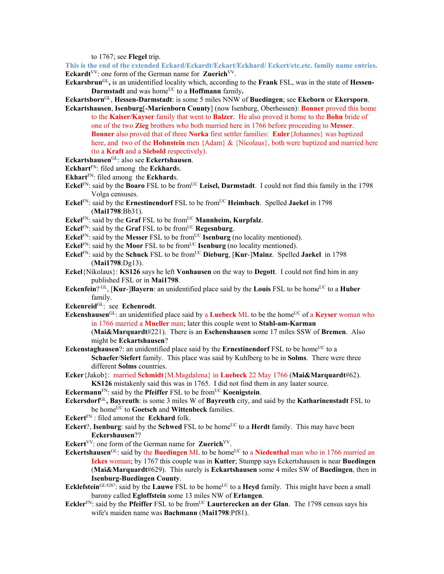to 1767; see **Flegel** trip.

This is the end of the extended Eckard/Eckardt/Eckart/Eckhard/ Eckert/etc.etc. family name entries. **Eckardt**<sup>VV</sup>: one form of the German name for **Zuerich**<sup>VV</sup>.

**Eckarsbrun**GL**,** is an unidentified locality which, according to the **Frank** FSL, was in the state of **Hessen-Darmstadt** and was home<sup>UC</sup> to a **Hoffmann** family.

**Eckartsborn**GL, **Hessen-Darmstadt**: is some 5 miles NNW of **Buedingen**; see **Ekeborn** or **Ekersporn**.

- **Eckartshausen**, **Isenburg**[**-Marienborn County**] (now Isenburg, Oberhessen): **Bonner** proved this home to the **Kaiser/Kayser** family that went to **Balzer**. He also proved it home to the **Bohn** bride of one of the two **Zieg** brothers who both married here in 1766 before proceeding to **Messer**. **Bonner** also proved that of three **Norka** first settler families: **Euler**{Johannes} was baptized here, and two of the **Hohnstein** men {Adam} & {Nicolaus}, both were baptized and married here (to a **Kraft** and a **Siebold** respectively).
- **Eckartshausen**GL: also see **Eckertshausen**.
- **Eckhart**FN: filed among the **Eckhard**s.
- **Ekhart**FN: filed among the **Eckhard**s.
- Eckel<sup>FN</sup>: said by the **Boaro** FSL to be from<sup>UC</sup> Leisel, Darmstadt. I could not find this family in the 1798 Volga censuses.
- **Eckel**<sup>FN</sup>: said by the **Ernestinendorf** FSL to be from<sup>UC</sup> **Heimbach**. Spelled **Jaekel** in 1798 (**Mai1798**:Bb31).
- **Eckel**<sup>FN</sup>: said by the **Graf** FSL to be from<sup>UC</sup> **Mannheim, Kurpfalz**.
- Eckel<sup>FN</sup>: said by the **Graf** FSL to be from<sup>UC</sup> **Regesnburg**.
- **Eckel**<sup>FN</sup>: said by the **Messer** FSL to be from<sup>UC</sup> **Isenburg** (no locality mentioned).
- **Eckel**<sup>FN</sup>: said by the **Moor** FSL to be from<sup>UC</sup> **Isenburg** (no locality mentioned).
- **Eckel**<sup>FN</sup>: said by the **Schuck** FSL to be from<sup>UC</sup> **Dieburg**, [**Kur-**]**Mainz**. Spelled **Jaekel** in 1798 (**Mai1798**:Dg13).
- **Eckel**{Nikolaus}: **KS126** says he left **Vonhausen** on the way to **Degott**. I could not find him in any published FSL or in **Mai1798**.
- **Eckenfein**? GL, [Kur-]Bayern: an unidentified place said by the Louis FSL to be home<sup>UC</sup> to a Huber family.
- **Eckenreid**GL: see **Echenrodt**.
- **Eckenshausen**<sup>GL</sup>: an unidentified place said by a **Luebeck** ML to be the home<sup>UC</sup> of a **Keyser** woman who in 1766 married a **Mueller** man; later this couple went to **Stahl-am-Karman** (**Mai&Marquardt**#221). There is an **Eschenshausen** some 17 miles SSW of **Bremen**. Also
	- might be **Eckartshausen**?
- **Eckenstaghausen**?: an unidentified place said by the **Ernestinendorf** FSL to be home<sup>UC</sup> to a **Schaefer**/**Siefert** family. This place was said by Kuhlberg to be in **Solms**. There were three different **Solms** countries.
- **Ecker**{Jakob}: married **Schmidt**{M.Magdalena} in **Luebeck** 22 May 1766 (**Mai&Marquardt**#62). **KS126** mistakenly said this was in 1765. I did not find them in any laater source.
- **Eckermann**<sup>FN</sup>: said by the **Pfeiffer** FSL to be from<sup>UC</sup> **Koenigstein**.
- **Eckersdorf**GL**, Bayreuth**: is some 3 miles W of **Bayreuth** city, and said by the **Katharinenstadt** FSL to be home<sup>UC</sup> to Goetsch and Wittenbeck families.
- **Eckert**FN : filed amonst the **Eckhard** folk.
- **Eckert**?, **Isenburg**: said by the **Schwed** FSL to be home<sup>UC</sup> to a **Herdt** family. This may have been **Eckershausen**??
- **Eckert**<sup>VV</sup>: one form of the German name for **Zuerich**<sup>VV</sup>.
- **Eckertshausen**<sup>GL</sup>: said by the **Buedingen** ML to be home<sup>UC</sup> to a **Niedenthal** man who in 1766 married an **Ickes** woman; by 1767 this couple was in **Kutter**; Stumpp says Eckertshausen is near **Buedingen** (**Mai&Marquardt**#629). This surely is **Eckartshausen** some 4 miles SW of **Buedingen**, then in **Isenburg-Buedingen County**.
- **Ecklefstein**<sup>GL/GS?</sup>: said by the **Lauwe** FSL to be home<sup>UC</sup> to a **Heyd** family. This might have been a small barony called **Egloffstein** some 13 miles NW of **Erlangen**.
- **Eckler**FN: said by the **Pfeiffer** FSL to be fromUC **Laurterecken an der Glan**. The 1798 census says his wife's maiden name was **Bachmann** (**Mai1798**:Pf81).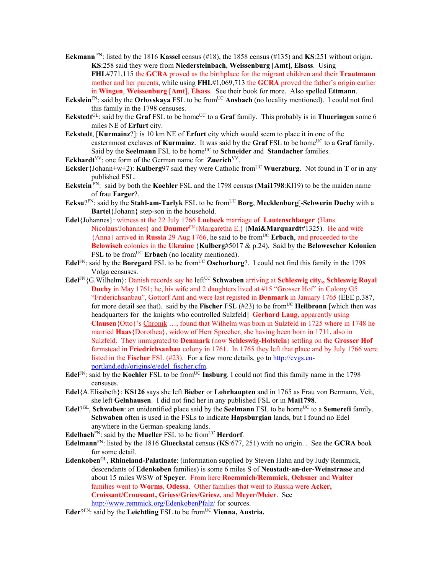- **Eckmann** FN: listed by the 1816 **Kassel** census (#18), the 1858 census (#135) and **KS**:251 without origin. **KS**:258 said they were from **Niedersteinbach**, **Weissenburg** [**Amt**], **Elsass**. Using **FHL**#771,115 the **GCRA** proved as the birthplace for the migrant children and their **Trautmann** mother and her parents, while using **FHL**#1,069,713 the **GCRA** proved the father's origin earlier in **Wingen**, **Weissenburg** [**Amt**], **Elsass**. See their book for more. Also spelled **Ettmann**.
- **Eckslein**<sup>FN</sup>: said by the **Orlovskaya** FSL to be from<sup>UC</sup> **Ansbach** (no locality mentioned). I could not find this family in the 1798 censuses.
- **Eckstedt**<sup>GL</sup>: said by the **Graf** FSL to be home<sup>UC</sup> to a **Graf** family. This probably is in **Thueringen** some 6 miles NE of **Erfurt** city.
- **Eckstedt**, [**Kurmainz**?]: is 10 km NE of **Erfurt** city which would seem to place it in one of the easternmost exclaves of **Kurmainz**. It was said by the Graf FSL to be home<sup>UC</sup> to a Graf family. Said by the **Seelmann** FSL to be home<sup>UC</sup> to **Schneider** and **Standacher** families.
- **Eckhardt**<sup>VV</sup>: one form of the German name for **Zuerich**<sup>VV</sup>.
- **Ecksler**{Johann+w+2): **Kulberg**97 said they were Catholic from<sup>UC</sup> Wuerzburg. Not found in **T** or in any published FSL.
- **Eckstein** FN: said by both the **Koehler** FSL and the 1798 census (**Mai1798**:Kl19) to be the maiden name of frau **Farger**?.
- **Ecksu**?FN: said by the **Stahl-am-Tarlyk** FSL to be fromUC **Borg**, **Mecklenburg**[-**Schwerin Duchy** with a **Bartel**{Johann} step-son in the household.
- **Edel**{Johannes}: witness at the 22 July 1766 **Luebeck** marriage of **Lautenschlaeger** {Hans Nicolaus/Johannes} and **Daumer**FN{Margaretha E.} (**Mai&Marquardt**#1325). He and wife {Anna} arrived in **Russia** 29 Aug 1766, he said to be fromUC **Erbach**, and proceeded to the **Belowisch** colonies in the **Ukraine** {**Kulberg**#5017 & p.24). Said by the **Belowescher Kolonien** FSL to be from<sup>UC</sup> Erbach (no locality mentioned).
- **Edel**<sup>FN</sup>: said by the **Boregard** FSL to be from<sup>UC</sup> **Oschorburg**?. I could not find this family in the 1798 Volga censuses.
- **Edel**<sup>FN</sup>{G.Wilhelm}: Danish records say he left<sup>UC</sup> Schwaben arriving at Schleswig city,, Schleswig Royal **Duchy** in May 1761; he, his wife and 2 daughters lived at #15 "Grosser Hof" in Colony G5 "Friderichsanbau", Gottorf Amt and were last registed in **Denmark** in January 1765 (EEE p.387, for more detail see that). said by the **Fischer** FSL  $(\#23)$  to be from<sup>UC</sup> **Heilbronn** [which then was headquarters for the knights who controlled Sulzfeld] **Gerhard Lang**, apparently using **Clausen**{Otto}'s Chronik …, found that Wilhelm was born in Sulzfeld in 1725 where in 1748 he married **Haas**{Dorothea}, widow of Herr Sprecher; she having been born in 1711, also in Sulzfeld. They immigrated to **Denmark** (now **Schleswig-Holstein**) settling on the **Grosser Hof** farmstead in **Friedrichsanbau** colony in 1761. In 1765 they left that place and by July 1766 were listed in the **Fischer** FSL (#23). For a few more details, go to http://cvgs.cuportland.edu/origins/e/edel\_fischer.cfm.
- **Edel**<sup>FN</sup>: said by the **Koehler** FSL to be from<sup>UC</sup> **Insburg**. I could not find this family name in the 1798 censuses.
- **Edel**{A.Elisabeth}: **KS126** says she left **Bieber** or **Lohrhaupten** and in 1765 as Frau von Bermann, Veit, she left **Gelnhausen**. I did not find her in any published FSL or in **Mai1798**.
- **Edel**?<sup>GL</sup>, **Schwaben**: an unidentified place said by the **Seelmann** FSL to be home<sup>UC</sup> to a **Semerefi** family. **Schwaben** often is used in the FSLs to indicate **Hapsburgian** lands, but I found no Edel anywhere in the German-speaking lands.
- **Edelbach**<sup>FN</sup>: said by the **Mueller** FSL to be from<sup>UC</sup> **Herdorf**.
- **Edelmann**FN: listed by the 1816 **Glueckstal** census (**KS**:677, 251) with no origin. . See the **GCRA** book for some detail.
- **Edenkoben**GL, **Rhineland-Palatinate**: (information supplied by Steven Hahn and by Judy Remmick, descendants of **Edenkoben** families) is some 6 miles S of **Neustadt-an-der-Weinstrasse** and about 15 miles WSW of **Speyer**. From here **Roemmich/Remmick**, **Ochsner** and **Walter** families went to **Worms**, **Odessa**. Other families that went to Russia were **Acker, Croissant/Croussant, Griess/Gries/Griesz**, and **Meyer/Meier**. See http://www.remmick.org/EdenkobenPfalz/ for sources.
- **Eder**?FN: said by the **Leichtling** FSL to be from<sup>UC</sup> Vienna, Austria.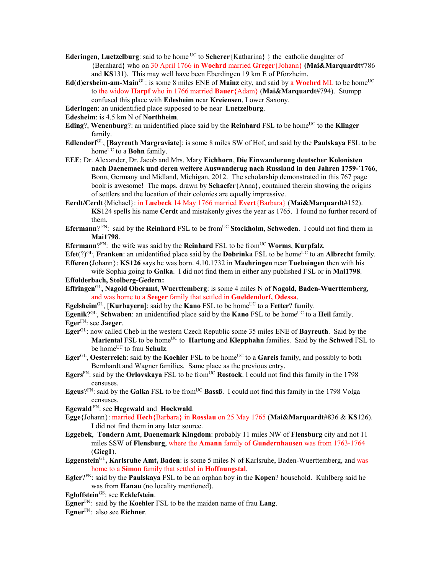**Ederingen, Luetzelburg**: said to be home <sup>UC</sup> to **Scherer**{Katharina} } the catholic daughter of {Bernhard} who on 30 April 1766 in **Woehrd** married **Greger**{Johann} **(Mai&Marquardt**#786 and **KS**131). This may well have been Eberdingen 19 km E of Pforzheim.

- $Ed(d)$ **ersheim-am-Main**<sup>GL</sup>: is some 8 miles ENE of **Mainz** city, and said by a **Woehrd** ML to be home<sup>UC</sup> to the widow **Harpf** who in 1766 married **Bauer**{Adam} (**Mai&Marquardt**#794). Stumpp confused this place with **Edesheim** near **Kreiensen**, Lower Saxony.
- **Ederingen**: an unidentified place supposed to be near **Luetzelburg**.
- **Edesheim**: is 4.5 km N of **Northheim**.
- **Eding**?, **Wenenburg**?: an unidentified place said by the **Reinhard** FSL to be home<sup>UC</sup> to the **Klinger** family.
- **Edlendorf**GL, [**Bayreuth Margraviate**]: is some 8 miles SW of Hof, and said by the **Paulskaya** FSL to be home<sup>UC</sup> to a **Bohn** family.
- **EEE**: Dr. Alexander, Dr. Jacob and Mrs. Mary **Eichhorn**, **Die Einwanderung deutscher Kolonisten nach Daenemaek und deren weitere Auswanderug nach Russland in den Jahren 1759-`1766**, Bonn, Germany and Midland, Michigan, 2012. The scholarship demonstrated in this 767 page book is awesome! The maps, drawn by **Schaefer**{Anna}, contained therein showing the origins of settlers and the location of their colonies are equally impressive.
- **Eerdt/Cerdt**{Michael}: in **Luebeck** 14 May 1766 married **Evert**{Barbara} (**Mai&Marquardt**#152). **KS**124 spells his name **Cerdt** and mistakenly gives the year as 1765. I found no further record of them.
- **Efermann**? FN: said by the **Reinhard** FSL to be from<sup>UC</sup> **Stockholm**, **Schweden**. I could not find them in **Mai1798**.

**Efermann**? $F_N$ : the wife was said by the **Reinhard** FSL to be from<sup>UC</sup> **Worms**, **Kurpfalz**.

**Efet**(?)<sup>GL</sup>, **Franken**: an unidentified place said by the **Dobrinka** FSL to be home<sup>UC</sup> to an **Albrecht** family. **Efferen**{Johann}: **KS126** says he was born. 4.10.1732 in **Maehringen** near **Tuebeingen** then with his

wife Sophia going to **Galka**. I did not find them in either any published FSL or in **Mai1798**. **Effolderbach, Stolberg-Gedern:** 

- **Effringen**GL**, Nagold Oberamt, Wuerttemberg**: is some 4 miles N of **Nagold, Baden-Wuerttemberg**, and was home to a **Seeger** family that settled in **Gueldendorf, Odessa**.
- **Egelsheim**<sup>GL</sup>, [**Kurbayern**]: said by the **Kano** FSL to be home<sup>UC</sup> to a Fetter? family.
- **Egenik**?<sup>GL</sup>, **Schwaben**: an unidentified place said by the **Kano** FSL to be home<sup>UC</sup> to a **Heil** family.

**Eger**FN: see **Jaeger**.

- **Eger**GL: now called Cheb in the western Czech Republic some 35 miles ENE of **Bayreuth**. Said by the **Mariental** FSL to be homeUC to **Hartung** and **Klepphahn** families. Said by the **Schwed** FSL to be home<sup>UC</sup> to frau **Schulz**.
- **Eger**<sup>GL</sup>, **Oesterreich**: said by the **Koehler** FSL to be home<sup>UC</sup> to a **Gareis** family, and possibly to both Bernhardt and Wagner families. Same place as the previous entry.
- **Egers**<sup>FN</sup>: said by the **Orlovskaya** FSL to be from<sup>UC</sup> **Rostock**. I could not find this family in the 1798 censuses.
- **Egeus**? $F_N$ : said by the **Galka** FSL to be from<sup>UC</sup> **Bassß**. I could not find this family in the 1798 Volga censuses.
- **Egewald** FN: see **Hegewald** and **Hockwald**.
- **Egge**{Johann}: married **Hech**{Barbara} in **Rosslau** on 25 May 1765 (**Mai&Marquardt**#836 & **KS**126). I did not find them in any later source.
- **Eggebek**, **Tondern Amt**, **Daenemark Kingdom**: probably 11 miles NW of **Flensburg** city and not 11 miles SSW of **Flensburg**, where the **Amann** family of **Gundernhausen** was from 1763-1764 (**Gieg1**).
- **Eggenstein**GL**, Karlsruhe Amt, Baden**: is some 5 miles N of Karlsruhe, Baden-Wuerttemberg, and was home to a **Simon** family that settled in **Hoffnungstal**.
- **Egler**?FN: said by the **Paulskaya** FSL to be an orphan boy in the **Kopen**? household. Kuhlberg said he was from **Hanau** (no locality mentioned).
- **Egloffstein**GS: see **Ecklefstein**.
- **Egner**FN: said by the **Koehler** FSL to be the maiden name of frau **Lang**.
- **Egner**FN: also see **Eichner**.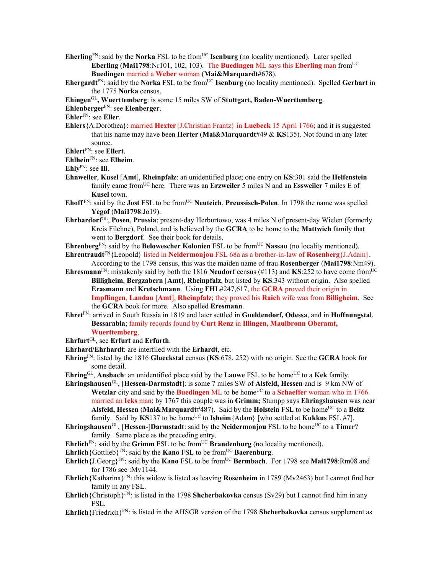- **Eherling**<sup>FN</sup>: said by the **Norka** FSL to be from<sup>UC</sup> **Isenburg** (no locality mentioned). Later spelled **Eberling** (**Mai1798**:Nr101, 102, 103). The **Buedingen** ML says this **Eberling** man fromUC **Buedingen** married a **Weber** woman (**Mai&Marquardt**#678).
- **Ehergardt**<sup>FN</sup>: said by the **Norka** FSL to be from<sup>UC</sup> **Isenburg** (no locality mentioned). Spelled Gerhart in the 1775 **Norka** census.
- **Ehingen**GL**, Wuerttemberg**: is some 15 miles SW of **Stuttgart, Baden-Wuerttemberg**.

## **Ehlenberger**FN: see **Elenberger**.

**Ehler**FN: see **Eller**.

**Ehlers**{A.Dorothea}: married **Hexter**{J.Christian Frantz} in **Luebeck** 15 April 1766; and it is suggested that his name may have been **Herter** (**Mai&Marquardt**#49 & **KS**135). Not found in any later source.

**Ehlert**FN: see **Ellert**.

**Ehlhein**FN: see **Elheim**.

**Ehly**FN: see **Ili**.

- **Ehnweiler**, **Kusel** [**Amt**], **Rheinpfalz**: an unidentified place; one entry on **KS**:301 said the **Helfenstein** family came fromUC here. There was an **Erzweiler** 5 miles N and an **Essweiler** 7 miles E of **Kusel** town.
- Ehoff<sup>FN</sup>: said by the **Jost** FSL to be from<sup>UC</sup> Neuteich, Preussisch-Polen. In 1798 the name was spelled **Yegof** (**Mai1798**:Jo19).
- **Ehrbardorf**GL, **Posen**, **Prussia**: present-day Herburtowo, was 4 miles N of present-day Wielen (formerly Kreis Filchne), Poland, and is believed by the **GCRA** to be home to the **Mattwich** family that went to **Bergdorf**. See their book for details.
- **Ehrenberg**<sup>FN</sup>: said by the **Belowescher Kolonien** FSL to be from<sup>UC</sup> **Nassau** (no locality mentioned).
- **Ehrentraudt**FN{Leopold} listed in **Neidermonjou** FSL 68a as a brother-in-law of **Rosenberg**{J.Adam}. According to the 1798 census, this was the maiden name of frau **Rosenberger** (**Mai1798**:Nm49).
- **Ehresmann**<sup>FN</sup>: mistakenly said by both the 1816 **Neudorf** census (#113) and **KS**:252 to have come from<sup>UC</sup> **Billigheim**, **Bergzabern** [**Amt**], **Rheinpfalz**, but listed by **KS**:343 without origin. Also spelled **Erasmann** and **Kretschmann**. Using **FHL**#247,617, the **GCRA** proved their origin in **Impflingen**, **Landau** [**Amt**], **Rheinpfalz**; they proved his **Raich** wife was from **Billigheim**. See the **GCRA** book for more. Also spelled **Eresmann**.
- **Ehret**FN: arrived in South Russia in 1819 and later settled in **Gueldendorf, Odessa**, and in **Hoffnungstal**, **Bessarabia**; family records found by **Curt Renz** in **Illingen, Maulbronn Oberamt, Wuerttemberg**.
- **Ehrfurt**GL, see **Erfurt** and **Erfurth**.
- **Ehrhard/Ehrhardt**: are interfiled with the **Erhardt**, etc.
- **Ehring**FN: listed by the 1816 **Glueckstal** census (**KS**:678, 252) with no origin. See the **GCRA** book for some detail.
- **Ehring**<sup>GL</sup>, **Ansbach**: an unidentified place said by the **Lauwe** FSL to be home<sup>UC</sup> to a **Kek** family.
- **Ehringshausen**GL, [**Hessen-Darmstadt**]: is some 7 miles SW of **Alsfeld, Hessen** and is 9 km NW of **Wetzlar** city and said by the **Buedingen** ML to be home<sup>UC</sup> to a **Schaeffer** woman who in 1766 married an **Icks** man; by 1767 this couple was in **Grimm;** Stumpp says **Ehringshausen** was near Alsfeld, Hessen (Mai&Marquardt#487). Said by the Holstein FSL to be home<sup>UC</sup> to a Beitz family. Said by  $\text{KS}137$  to be home<sup>UC</sup> to  $\text{Isheim}\{\text{Adam}\}\$  [who settled at  $\text{Kukkus}\$  FSL #7].
- **Ehringshausen**<sup>GL</sup>, [Hessen-]Darmstadt: said by the Neidermonjou FSL to be home<sup>UC</sup> to a Timer? family. Same place as the preceding entry.
- **Ehrlich**<sup>FN</sup>: said by the  $\overline{Grimm}$  FSL to be from<sup>UC</sup> **Brandenburg** (no locality mentioned).
- **Ehrlich**{Gottlieb}<sup>FN</sup>: said by the **Kano** FSL to be from<sup>UC</sup> **Baerenburg**.
- **Ehrlich**{J.Georg}<sup>FN</sup>: said by the **Kano** FSL to be from<sup>UC</sup> **Bermbach**. For 1798 see **Mai1798**:Rm08 and for 1786 see :Mv1144.
- **Ehrlich**{Katharina}FN: this widow is listed as leaving **Rosenheim** in 1789 (Mv2463) but I cannot find her family in any FSL.
- **Ehrlich**{Christoph}<sup>FN</sup>: is listed in the 1798 **Shcherbakovka** census (Sv29) but I cannot find him in any FSL.
- **Ehrlich**{Friedrich}FN: is listed in the AHSGR version of the 1798 **Shcherbakovka** census supplement as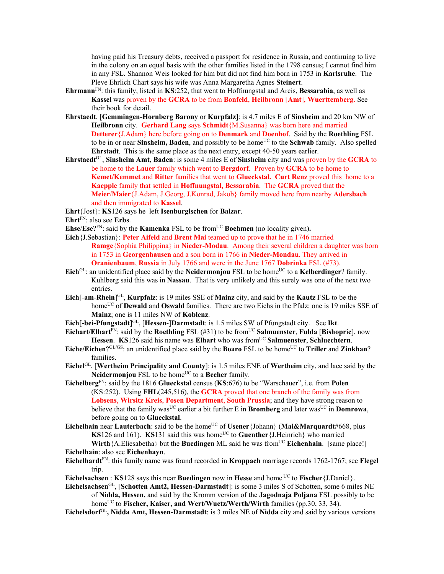having paid his Treasury debts, received a passport for residence in Russia, and continuing to live in the colony on an equal basis with the other families listed in the 1798 census; I cannot find him in any FSL. Shannon Weis looked for him but did not find him born in 1753 in **Karlsruhe**. The Pleve Ehrlich Chart says his wife was Anna Margaretha Agnes **Steinert**.

- **Ehrmann**FN: this family, listed in **KS**:252, that went to Hoffnungstal and Arcis, **Bessarabia**, as well as **Kassel** was proven by the **GCRA** to be from **Bonfeld**, **Heilbronn** [**Amt**], **Wuerttemberg**. See their book for detail.
- **Ehrstaedt**, [**Gemmingen-Hornberg Barony** or **Kurpfalz**]: is 4.7 miles E of **Sinsheim** and 20 km NW of **Heilbronn** city. **Gerhard Lang** says **Schmidt**{M.Susanna} was born here and married **Detterer**{J.Adam} here before going on to **Denmark** and **Doenhof**. Said by the **Roethling** FSL to be in or near **Sinsheim, Baden**, and possibly to be home<sup>UC</sup> to the **Schwab** family. Also spelled **Ehrstadt**. This is the same place as the next entry, except 40-50 years earlier.
- **Ehrstaedt**GL, **Sinsheim Amt**, **Baden**: is some 4 miles E of **Sinsheim** city and was proven by the **GCRA** to be home to the **Lauer** family which went to **Bergdorf**. Proven by **GCRA** to be home to **Kemet/Kemmet** and **Ritter** families that went to **Glueckstal. Curt Renz** proved this home to a **Kaepple** family that settled in **Hoffnungstal, Bessarabia**. The **GCRA** proved that the **Meier**/**Maier**{J.Adam, J.Georg, J.Konrad, Jakob} family moved here from nearby **Adersbach** and then immigrated to **Kassel**.
- **Ehrt**{Jost}: **KS**126 says he left **Isenburgischen** for **Balzar**.
- **Ehrt**FN: also see **Erbs**.
- **Ehse**/ $\text{Ese}^{\text{pF}}$ : said by the **Kamenka** FSL to be from<sup>UC</sup> **Boehmen** (no locality given).
- **Eich**{J.Sebastian}: **Peter Aifeld** and **Brent Mai** teamed up to prove that he in 1746 married **Ramge**{Sophia Philippina} in **Nieder-Modau**. Among their several children a daughter was born in 1753 in **Georgenhausen** and a son born in 1766 in **Nieder-Mondau**. They arrived in **Oranienbaum**, **Russia** in July 1766 and were in the June 1767 **Dobrinka** FSL (#73).
- Eich<sup>GL</sup>: an unidentified place said by the **Neidermonjou** FSL to be home<sup>UC</sup> to a **Kelberdinger**? family. Kuhlberg said this was in **Nassau**. That is very unlikely and this surely was one of the next two entries.
- **Eich**[-**am**-**Rhein**] GL, **Kurpfalz**: is 19 miles SSE of **Mainz** city, and said by the **Kautz** FSL to be the home<sup>UC</sup> of **Dewald** and **Oswald** families. There are two Eichs in the Pfalz: one is 19 miles SSE of **Mainz**; one is 11 miles NW of **Koblenz**.
- **Eich** $[$ **-bei-Pfungstadt** $]$ <sup>GL</sup>,  $[$ **Hessen-** $]$ **Darmstadt**: is 1.5 miles SW of Pfungstadt city. See Ikt.
- **Eichart/Elhart** $\overline{FN}$ : said by the **Roethling** FSL (#31) to be from<sup>UC</sup> **Salmuenster**, **Fulda** [**Bishopric**], now Hessen. **KS**126 said his name was **Elhart** who was from<sup>UC</sup> Salmuenster, Schluechtern.
- Eiche/Eichen?GL/GS: an unidentified place said by the **Boaro** FSL to be home<sup>UC</sup> to **Triller** and **Zinkhan**? families.
- **Eichel**GL, [**Wertheim Principality and County**]: is 1.5 miles ENE of **Wertheim** city, and lace said by the **Neidermonjou** FSL to be home<sup>UC</sup> to a **Becher** family.
- **Eichelberg**FN: said by the 1816 **Glueckstal** census (**KS**:676) to be "Warschauer", i.e. from **Polen**  (KS:252). Using **FHL**(245,516), the **GCRA** proved that one branch of the family was from **Lobsens**, **Wirsitz Kreis**, **Posen Department**, **South Prussia**; and they have strong reason to believe that the family was<sup>UC</sup> earlier a bit further E in **Bromberg** and later was<sup>UC</sup> in **Domrowa**, before going on to **Glueckstal**.
- **Eichelhain** near **Lauterbach**: said to be the home<sup>UC</sup> of **Usener**{Johann} (**Mai&Marquardt**#668, plus **KS**126 and 161). **KS**131 said this was home<sup>UC</sup> to **Guenther** {J.Heinrich} who married **Wirth**{A.Eliesabetha} but the **Buedingen** ML said he was from<sup>UC</sup> **Eichenhain**. [same place!]

**Eichelhain**: also see **Eichenhayn**.

- **Eichelhardt**FN: this family name was found recorded in **Kroppach** marriage records 1762-1767; see **Flegel** trip.
- **Eichelsachsen** : **KS**128 says this near **Buedingen** now in **Hesse** and home UC to **Fischer**{J.Daniel}.
- **Eichelsachsen**GL, [**Schotten Amt2, Hessen-Darmstadt**]: is some 3 miles S of Schotten, some 6 miles NE of **Nidda, Hessen,** and said by the Kromm version of the **Jagodnaja Poljana** FSL possibly to be home<sup>UC</sup> to **Fischer, Kaiser, and Wert/Wuetz/Werth/Wirth** families (pp.30, 33, 34).
- **Eichelsdorf**GL**, Nidda Amt, Hessen-Darmstadt**: is 3 miles NE of **Nidda** city and said by various versions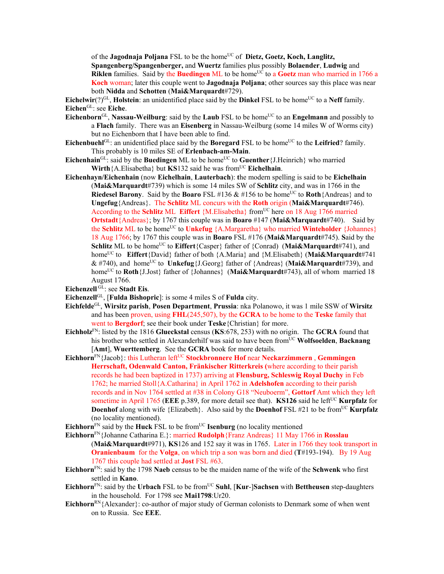of the **Jagodnaja Poljana** FSL to be the home<sup>UC</sup> of **Dietz, Goetz, Koch, Langlitz, Spangenberg/Spangenberger,** and **Wuertz** families plus possibly **Bolaender**, **Ludwig** and **Riklen** families. Said by the **Buedingen** ML to be home<sup>UC</sup> to a **Goetz** man who married in 1766 a **Koch** woman; later this couple went to **Jagodnaja Poljana**; other sources say this place was near both **Nidda** and **Schotten** (**Mai&Marquardt**#729).

**Eichelwir**(?)<sup>GL</sup>, **Holstein**: an unidentified place said by the **Dinkel** FSL to be home<sup>UC</sup> to a **Neff** family. **Eichen**GL: see **Eiche**.

- Eichenborn<sup>GL</sup>, Nassau-Weilburg: said by the Laub FSL to be home<sup>UC</sup> to an Engelmann and possibly to a **Flach** family. There was an **Eisenberg** in Nassau-Weilburg (some 14 miles W of Worms city) but no Eichenborn that I have been able to find.
- **Eichenbuehl**<sup>GL</sup>: an unidentified place said by the **Boregard** FSL to be home<sup>UC</sup> to the **Leifried**? family. This probably is 10 miles SE of **Erlenbach-am-Main**.
- **Eichenhain**<sup>GL</sup>: said by the **Buedingen** ML to be home<sup>UC</sup> to **Guenther**{J.Heinrich} who married **Wirth** {A.Elisabetha} but **KS**132 said he was from<sup>UC</sup> **Eichelhain**.
- **Eichenhayn/Eichenhain** (now **Eichelhain**, **Lauterbach**): **t**he modern spelling is said to be **Eichelhain** (**Mai&Marquardt**#739) which is some 14 miles SW of **Schlitz** city, and was in 1766 in the **Riedesel Barony.** Said by the **Boaro** FSL #136  $\&$  #156 to be home<sup>UC</sup> to **Roth**{Andreas} and to **Ungefug**{Andreas}. The **Schlitz** ML concurs with the **Roth** origin (**Mai&Marquardt**#746). According to the **Schlitz** ML **Eiffert** {M.Elisabetha} from<sup>UC</sup> here on 18 Aug 1766 married **Ortstadt**{Andreas}; by 1767 this couple was in **Boaro** #147 (**Mai&Marquardt**#740). Said by the **Schlitz** ML to be home<sup>UC</sup> to **Unkefug** {A.Margaretha} who married **Winteholder** {Johannes} 18 Aug 1766; by 1767 this couple was in **Boaro** FSL #176 (**Mai&Marquardt**#745). **S**aid by the **Schlitz** ML to be home<sup>UC</sup> to **Eiffert**{Casper} father of {Conrad) (Mai&Marquardt#741), and homeUC to **Eiffert**{David} father of both {A.Maria} and {M.Elisabeth} (**Mai&Marquardt**#741 & #740), and homeUC to **Unkefug**{J.Georg} father of {Andreas} (**Mai&Marquardt**#739), and home<sup>UC</sup> to **Roth**{J,Jost} father of {Johannes} (Mai&Marquardt#743), all of whom married 18 August 1766.
- **Eichenzell** GL: see **Stadt Eis**.
- **Eichenzell**GL, [**Fulda Bishopric**]: is some 4 miles S of **Fulda** city.
- **Eichfelde**GL, **Wirsitz parish**, **Posen Department**, **Prussia**: nka Polanowo, it was 1 mile SSW of **Wirsitz**  and has been proven, using **FHL**(245,507), by the **GCRA** to be home to the **Teske** family that went to **Bergdorf**; see their book under **Teske**{Christian} for more.
- **Eichholz**FN: listed by the 1816 **Glueckstal** census (**KS**:678, 253) with no origin. The **GCRA** found that his brother who settled in Alexanderhilf was said to have been from<sup>UC</sup> Wolfsoelden, Backnang [**Amt**], **Wuerttemberg**. See the **GCRA** book for more details.
- **Eichhorn**<sup>FN</sup>{Jacob}: this Lutheran left<sup>UC</sup> Stockbronnere Hof near Neckarzimmern , Gemmingen **Herrschaft, Odenwald Canton, Fränkischer Ritterkreis (**where according to their parish records he had been baptized in 1737) arriving at **Flensburg, Schleswig Royal Duchy** in Feb 1762; he married Stoll{A.Catharina} in April 1762 in **Adelshofen** according to their parish records and in Nov 1764 settled at #38 in Colony G18 "Neuboerm", **Gottorf** Amt which they left sometime in April 1765 (EEE p.389, for more detail see that). **KS126** said he left<sup>UC</sup> **Kurpfalz** for **Doenhof** along with wife {Elizabeth}. Also said by the **Doenhof** FSL #21 to be from<sup>UC</sup> **Kurpfalz** (no locality mentioned).
- **Eichhorn** $F_N$  said by the **Huck** FSL to be from  $UC$  **Isenburg** (no locality mentioned
- **Eichhorn**FN{Johanne Catharina E.}: married **Rudolph**{Franz Andreas} 11 May 1766 in **Rosslau**

(**Mai&Marquardt**#971), **KS**126 and 152 say it was in 1765. Later in 1766 they took transport in **Oranienbaum** for the **Volga**, on which trip a son was born and died (**T**#193-194). By 19 Aug 1767 this couple had settled at **Jost** FSL #63.

- **Eichhorn**FN: said by the 1798 **Naeb** census to be the maiden name of the wife of the **Schwenk** who first settled in **Kano**.
- Eichhorn<sup>FN</sup>: said by the **Urbach** FSL to be from<sup>UC</sup> Suhl, [Kur-]Sachsen with Bettheusen step-daughters in the household. For 1798 see **Mai1798**:Ur20.
- **Eichhorn**<sup>RN</sup>{Alexander}: co-author of major study of German colonists to Denmark some of when went on to Russia. See **EEE**.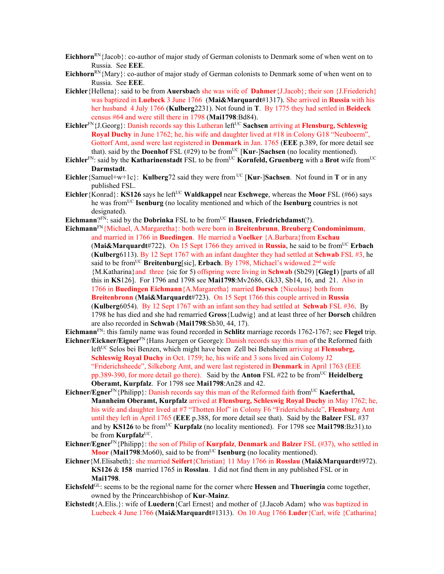- **Eichhorn**<sup>RN</sup>{Jacob}: co-author of major study of German colonists to Denmark some of when went on to Russia. See **EEE**.
- **Eichhorn**<sup>RN</sup>{Mary}: co-author of major study of German colonists to Denmark some of when went on to Russia. See **EEE**.
- **Eichler**{Hellena}: said to be from **Auersbac**h she was wife of **Dahmer**{J.Jacob}; their son {J.Friederich} was baptized in **Luebeck** 3 June 1766 (**Mai&Marquardt**#1317). She arrived in **Russia** with his her husband 4 July 1766 (**Kulberg**2231). Not found in **T**. By 1775 they had settled in **Beideck** census #64 and were still there in 1798 (**Mai1798**:Bd84).
- **Eichler**<sup>FN</sup>{J.Georg}: Danish records say this Lutheran left<sup>UC</sup> **Sachsen** arriving at **Flensburg, Schleswig Royal Duchy** in June 1762; he, his wife and daughter lived at #18 in Colony G18 "Neuboerm", Gottorf Amt, asnd were last registered in **Denmark** in Jan. 1765 (**EEE** p.389, for more detail see that). said by the **Doenhof** FSL (#29) to be from<sup>UC</sup> [**Kur-**]Sachsen (no locality mentioned).
- **Eichler**<sup>FN</sup>: said by the **Katharinenstadt** FSL to be from<sup>UC</sup> **Kornfeld, Gruenberg** with a **Brot** wife from<sup>UC</sup> **Darmstadt**.
- **Eichler**{Samuel+w+1c}: **Kulberg**72 said they were from <sup>UC</sup> [**Kur-**]Sachsen. Not found in **T** or in any published FSL.
- **Eichler**{Konrad}: **KS126** says he left<sup>UC</sup> **Waldkappel** near **Eschwege**, whereas the **Moor** FSL (#66) says he was fromUC **Isenburg** (no locality mentioned and which of the **Isenburg** countries is not designated).
- **Eichmann**? $F_N$ : said by the **Dobrinka** FSL to be from<sup>UC</sup> **Hausen**, **Friedrichdamst**(?).
- **Eichmann**FN{Michael, A.Margaretha}: both were born in **Breitenbrunn**, **Breuberg Condominimum**, and married in 1766 in **Buedingen**. He married a **Voelker** {A.Barbara}from **Eschau** (Mai&Marquardt#722). On 15 Sept 1766 they arrived in Russia, he said to be from<sup>UC</sup> Erbach (**Kulberg**6113). By 12 Sept 1767 with an infant daughter they had settled at **Schwab** FSL #3, he said to be from<sup>UC</sup> **Breitenburg**[sic], **Erbach**. By 1798, Michael's widowed 2<sup>nd</sup> wife {M.Katharina}and three {sic for 5) offspring were living in **Schwab** (Sb29) [**Gieg1**) [parts of all this in **KS**126]. For 1796 and 1798 see **Mai1798**:Mv2686, Gk33, Sb14, 16, and 21. Also in 1766 in **Buedingen Eichmann**{A.Margaretha} married **Dorsch** {Nicolaus} both from **Breitenbronn** (**Mai&Marquardt**#723). On 15 Sept 1766 this couple arrived in **Russia** (**Kulberg**6054). By 12 Sept 1767 with an infant son they had settled at **Schwab** FSL #36. By 1798 he has died and she had remarried **Gross**{Ludwig} and at least three of her **Dorsch** children are also recorded in **Schwab** (**Mai1798**:Sb30, 44, 17).

**Eichmann**FN: this family name was found recorded in **Schlitz** marriage records 1762-1767; see **Flegel** trip. **Eichner/Eickner/Eigner**FN{Hans Juergen or George): Danish records say this man of the Reformed faith left<sup>UC</sup> Selos bei Benzen, which might have been Zell bei Behsheim arriving at **Flensubrg**,

**Schleswig Royal Duchy** in Oct. 1759; he, his wife and 3 sons lived ain Colomy J2 "Friderichsheede", Silkeborg Amt, and were last registered in **Denmark** in April 1763 (EEE pp.389-390, for more detail go there). Said by the **Anton** FSL #22 to be fromUC **Heidelberg Oberamt, Kurpfalz**. For 1798 see **Mai1798**:An28 and 42.

- **Eichner/Egner**<sup>FN</sup>{Philipp}: Danish records say this man of the Reformed faith from<sup>UC</sup> **Kaeferthal**, **Mannheim Oberamt, Kurpfalz** arrived at **Flensburg, Schleswig Royal Duchy** in May 1762; he, his wife and daughter lived at #7 "Thotten Hof" in Colony F6 "Friderichsheide", **Flensbur**g Amt until they left in April 1765 (**EEE** p.388, for more detail see that). Said by the **Balzer** FSL #37 and by **KS126** to be fromUC **Kurpfalz** (no locality mentioned). For 1798 see **Mai1798**:Bz31).to be from **Kurpfalz**<sup>UC</sup>.
- **Eichner/Egner**FN{Philipp}: the son of Philip of **Kurpfalz**, **Denmark** and **Balzer** FSL (#37), who settled in **Moor** (Mai1798:Mo60), said to be from<sup>UC</sup> **Isenburg** (no locality mentioned).
- **Eichner**{M.Elisabeth}: she married **Seifert**{Christian} 11 May 1766 in **Rosslau** (**Mai&Marquardt**#972). **KS126** & **158** married 1765 in **Rosslau**. I did not find them in any published FSL or in **Mai1798**.
- **Eichsfeld**GL: seems to be the regional name for the corner where **Hessen** and **Thueringia** come together, owned by the Princearchbishop of **Kur**-**Mainz**.
- **Eichstedt**{A.Elis.}: wife of **Luedern**{Carl Ernest} and mother of {J.Jacob Adam} who was baptized in Luebeck 4 June 1766 (**Mai&Marquardt**#1313). On 10 Aug 1766 **Luder**{Carl, wife {Catharina}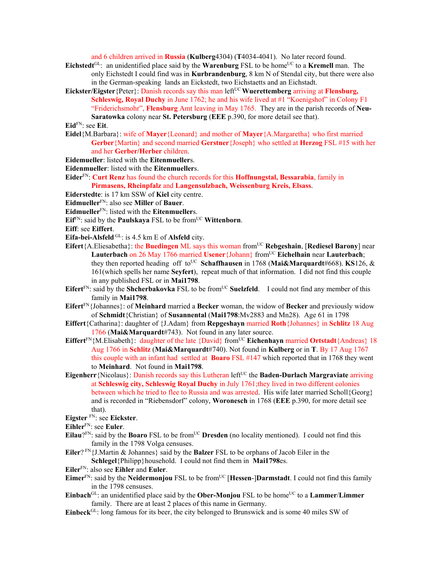and 6 children arrived in **Russia** (**Kulberg**4304) (**T**4034-4041). No later record found.

- Eichstedt<sup>GL</sup>: an unidentified place said by the **Warenburg** FSL to be home<sup>UC</sup> to a **Kremell** man. The only Eichstedt I could find was in **Kurbrandenburg**, 8 km N of Stendal city, but there were also in the German-speaking lands an Eickstedt, two Eichstaetts and an Eichstadt.
- **Eickster/Eigster** {Peter}: Danish records say this man left<sup>UC</sup> Wuerettemberg arriving at **Flensburg**, **Schleswig, Royal Duchy** in June 1762; he and his wife lived at #1 "Koenigshof" in Colony F1 "Friderichsmohr", **Flensburg** Amt leaving in May 1765. They are in the parish records of **Neu-Saratowka** colony near **St. Petersburg** (**EEE** p.390, for more detail see that).

## **Eid**FN: see **Eit**.

- **Eidel**{M.Barbara}: wife of **Mayer**{Leonard} and mother of **Mayer**{A.Margaretha} who first married **Gerber**{Martin} and second married **Gerstner**{Joseph} who settled at **Herzog** FSL #15 with her and her **Gerber/Herber** children.
- **Eidemueller**: listed with the **Eitenmueller**s.
- **Eidenmueller**: listed with the **Eitenmueller**s.
- **Eider**FN: **Curt Renz** has found the church records for this **Hoffnungstal, Bessarabia**, family in **Pirmasens, Rheinpfalz** and **Langensulzbach, Weissenburg Kreis, Elsass**.
- **Eiderstedte**: is 17 km SSW of **Kiel** city centre.
- **Eidmueller**FN: also see **Miller** of **Bauer**.
- **Eidmueller**FN: listed with the **Eitenmueller**s.
- **Eif**FN: said by the **Paulskaya** FSL to be from<sup>UC</sup> **Wittenborn**.
- **Eiff**: see **Eiffert**.
- **Eifa-bei-Alsfeld** GL: is 4.5 km E of **Alsfeld** city.
- **Eifert**{A.Eliesabetha}: the **Buedingen** ML says this woman from<sup>UC</sup> Rebgeshain, [Rediesel Barony] near **Lauterbach** on 26 May 1766 married **Usener** {Johann} from<sup>UC</sup> **Eichelhain** near **Lauterbach**; they then reported heading off to<sup>UC</sup> Schaffhausen in 1768 (Mai&Marquardt#668). **KS**126, & 161(which spells her name **Seyfert**), repeat much of that information. I did not find this couple in any published FSL or in **Mai1798**.
- **Eifert**<sup>FN</sup>: said by the **Shcherbakovka** FSL to be from<sup>UC</sup> **Suelzfeld**. I could not find any member of this family in **Mai1798**.
- **Eifert**FN{Johannes}: of **Meinhard** married a **Becker** woman, the widow of **Becker** and previously widow of **Schmidt**{Christian} of **Susannental** (**Mai1798**:Mv2883 and Mn28). Age 61 in 1798
- **Eiffert**{Catharina}: daughter of {J.Adam} from **Repgeshayn** married **Roth**{Johannes} in **Schlitz** 18 Aug 1766 (**Mai&Marquardt**#743). Not found in any later source.
- **Eiffert**<sup>FN</sup>{M.Elisabeth}: daughter of the late {David} from<sup>UC</sup> **Eichenhayn** married **Ortstadt**{Andreas} 18 Aug 1766 in **Schlitz** (**Mai&Marquardt**#740). Not found in **Kulberg** or in **T**. By 17 Aug 1767 this couple with an infant had settled at **Boaro** FSL #147 which reported that in 1768 they went to **Meinhard**. Not found in **Mai1798**.
- **Eigenherr** {Nicolaus}: Danish records say this Lutheran left<sup>UC</sup> the **Baden-Durlach Margraviate** arriving at **Schleswig city, Schleswig Royal Duchy** in July 1761;they lived in two different colonies between which he tried to flee to Russia and was arrested. His wife later married Scholl{Georg} and is recorded in "Riebensdorf" colony, **Woronesch** in 1768 (**EEE** p.390, for more detail see that).
- **Eigster** FN: see **Eickster**.
- **Eihler**FN: see **Euler**.
- Eilau?<sup>FN</sup>: said by the Boaro FSL to be from<sup>UC</sup> Dresden (no locality mentioned). I could not find this family in the 1798 Volga censuses.
- **Eiler**? FN{J.Martin & Johannes} said by the **Balzer** FSL to be orphans of Jacob Eiler in the **Schlegel**{Philipp}household. I could not find them in **Mai1798**es.
- **Eiler**FN: also see **Eihler** and **Euler**.
- **Eimer**<sup>FN</sup>: said by the **Neidermonjou** FSL to be from<sup>UC</sup> [**Hessen-**]Darmstadt. I could not find this family in the 1798 censuses.
- $\mathbf{Einback}^{\Pi}$ : an unidentified place said by the **Ober-Monjou** FSL to be home<sup>UC</sup> to a **Lammer**/**Limmer** family. There are at least 2 places of this name in Germany.
- **Einbeck**<sup>GL</sup>: long famous for its beer, the city belonged to Brunswick and is some 40 miles SW of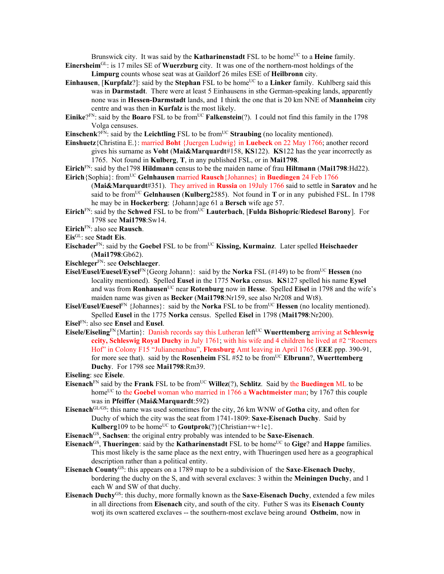Brunswick city. It was said by the **Katharinenstadt** FSL to be home<sup>UC</sup> to a **Heine** family.

- **Einersheim**GL: is 17 miles SE of **Wuerzburg** city. It was one of the northern-most holdings of the **Limpurg** counts whose seat was at Gaildorf 26 miles ESE of **Heilbronn** city.
- **Einhausen, [Kurpfalz**?]: said by the **Stephan** FSL to be home<sup>UC</sup> to a Linker family. Kuhlberg said this was in **Darmstadt**. There were at least 5 Einhausens in sthe German-speaking lands, apparently none was in **Hessen-Darmstadt** lands, and I think the one that is 20 km NNE of **Mannheim** city centre and was then in **Kurfalz** is the most likely.
- **Einike**?FN: said by the **Boaro** FSL to be from<sup>UC</sup> **Falkenstein**(?). I could not find this family in the 1798 Volga censuses.
- **Einschenk**? $F_N$ : said by the **Leichtling** FSL to be from  $U^C$  **Straubing** (no locality mentioned).
- **Einshuetz**{Christina E.}: married **Boht** {Juergen Ludwig} in **Luebeck** on 22 May 1766; another record gives his surname as **Voht** (**Mai&Marquardt**#158, **KS**122). **KS**122 has the year incorrectly as 1765. Not found in **Kulberg**, **T**, in any published FSL, or in **Mai1798**.
- **Eirich**FN: said by the1798 **Hildmann** census to be the maiden name of frau **Hiltmann** (**Mai1798**:Hd22).

**Eirich**{Sophia}: fromUC **Gelnhausen** married **Rausch**{Johannes} in **Buedingen** 24 Feb 1766

- (**Mai&Marquardt**#351). They arrived in **Russia** on 19July 1766 said to settle in **Saratov** and he said to be fromUC **Gelnhausen** (**Kulberg**2585). Not found in **T** or in any pubished FSL. In 1798 he may be in **Hockerberg**: {Johann}age 61 a **Bersch** wife age 57.
- **Eirich**<sup>FN</sup>: said by the **Schwed** FSL to be from<sup>UC</sup> **Lauterbach**, [**Fulda Bishopric**/**Riedesel Barony**]. For 1798 see **Mai1798**:Sw14.
- **Eirich**FN: also see **Rausch**.

- **Eischader**FN: said by the **Goebel** FSL to be fromUC **Kissing, Kurmainz**. Later spelled **Heischaeder** (**Mai1798**:Gb62).
- **Eischleger**FN: see **Oelschlaeger**.
- **Eisel/Eusel/Euesel/Eysel**<sup>FN</sup>{Georg Johann}: said by the **Norka** FSL (#149) to be from<sup>UC</sup> **Hessen** (no locality mentioned). Spelled **Eusel** in the 1775 **Norka** census. **KS**127 spelled his name **Eysel** and was from **Ronhausen**<sup>UC</sup> near **Rotenburg** now in **Hesse**. Spelled **Eisel** in 1798 and the wife's maiden name was given as **Becker** (**Mai1798**:Nr159, see also Nr208 and Wt8).
- **Eisel/Eusel/Euesel**<sup>FN</sup> {Johannes}: said by the **Norka** FSL to be from<sup>UC</sup> **Hessen** (no locality mentioned). Spelled **Eusel** in the 1775 **Norka** census. Spelled **Eisel** in 1798 (**Mai1798**:Nr200).
- **Eisel**FN: also see **Ensel** and **Eusel**.
- **Eisele/Eiseling**<sup>FN</sup>{Martin}: Danish records say this Lutheran left<sup>UC</sup> Wuerttemberg arriving at Schleswig **ccity, Schleswig Royal Duchy** in July 1761; with his wife and 4 children he lived at #2 "Roemers Hof" in Colony F15 "Julianenanbau", **Flensburg** Amt leaving in April 1765 (**EEE** ppp. 390-91, for more see that). said by the **Rosenheim** FSL #52 to be fromUC **Elbrunn**?, **Wuerttemberg Duchy**. For 1798 see **Mai1798**:Rm39.

**Eiseling**: see **Eisele**.

- **Eisenach**<sup>FN</sup> said by the **Frank** FSL to be from<sup>UC</sup> **Willez**(?), **Schlitz**. Said by the **Buedingen** ML to be homeUC to the **Goebel** woman who married in 1766 a **Wachtmeister** man; by 1767 this couple was in **Pfeiffer** (**Mai&Marquardt**:592)
- **Eisenach**GL/GS: this name was used sometimes for the city, 26 km WNW of **Gotha** city, and often for Duchy of which the city was the seat from 1741-1809: **Saxe-Eisenach Duchy**. Said by **Kulberg**109 to be home<sup>UC</sup> to **Goutprok** $(?)$ {Christian+w+1c}.

**Eisenach**GS, **Sachsen**: the original entry probably was intended to be **Saxe-Eisenach**.

- **Eisenach**<sup>GS</sup>, **Thueringen**: said by the **Katharinenstadt** FSL to be home<sup>UC</sup> to **Gige**? and **Happe** families. This most likely is the same place as the next entry, with Thueringen used here as a geographical description rather than a political entity.
- **Eisenach County**GS: this appears on a 1789 map to be a subdivision of the **Saxe**-**Eisenach Duchy**, bordering the duchy on the S, and with several exclaves: 3 within the **Meiningen Duchy**, and 1 each W and SW of that duchy.
- **Eisenach Duchy**GS: this duchy, more formally known as the **Saxe-Eisenach Duchy**, extended a few miles in all directions from **Eisenach** city, and south of the city. Futher S was its **Eisenach County** wotj its own scattered exclaves -- the southern-most exclave being around **Ostheim**, now in

**Eis**GL: see **Stadt Eis**.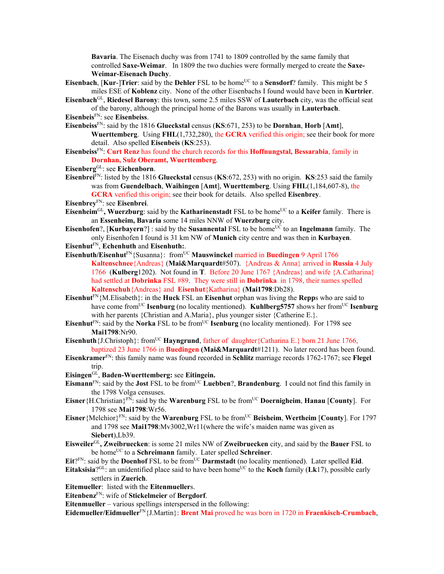**Bavaria**. The Eisenach duchy was from 1741 to 1809 controlled by the same family that controlled **Saxe-Weimar**. In 1809 the two duchies were formally merged to create the **Saxe-Weimar-Eisenach Duchy**.

- **Eisenbach, [Kur-]Trier**: said by the **Dehler** FSL to be home<sup>UC</sup> to a **Sensdorf**? family. This might be 5 miles ESE of **Koblenz** city. None of the other Eisenbachs I found would have been in **Kurtrier**.
- **Eisenbach**GL, **Riedesel Barony**: this town, some 2.5 miles SSW of **Lauterbach** city, was the official seat of the barony, although the principal home of the Barons was usually in **Lauterbach**.

**Eisenbeis**FN: see **Eisenbeiss**.

- **Eisenbeiss**FN: said by the 1816 **Glueckstal** census (**KS**:671, 253) to be **Dornhan**, **Horb** [**Amt**], **Wuerttemberg**. Using **FHL**(1,732,280), the **GCRA** verified this origin; see their book for more detail.Also spelled **Eisenbeis** (**KS**:253).
- **Eisenbeiss**FN: **Curt Renz** has found the church records for this **Hoffnungstal, Bessarabia**, family in **Dornhan, Sulz Oberamt, Wuerttemberg**.
- **Eisenberg**GL: see **Eichenborn**.
- **Eisenbrei**FN: listed by the 1816 **Glueckstal** census (**KS**:672, 253) with no origin. **KS**:253 said the family was from **Guendelbach**, **Waihingen** [**Amt**], **Wuerttemberg**. Using **FHL**(1,184,607-8), the **GCRA** verified this origin; see their book for details. Also spelled **Eisenbrey**.

**Eisenbrey**FN: see **Eisenbrei**.

- **Eisenheim**GL**, Wuerzburg**: said by the **Katharinenstadt** FSL to be homeUC to a **Keifer** family. There is an **Essenheim, Bavaria** some 14 miles NNW of **Wuerzburg** city.
- **Eisenhofen**?, [**Kurbayern**?] : said by the **Susannental** FSL to be home<sup>UC</sup> to an **Ingelmann** family. The only Eisenhofen I found is 31 km NW of **Munich** city centre and was then in **Kurbayen**.
- **Eisenhut**FN, **Echenhuth** and **Eisenhuth:**.
- Eisenhuth/Eisenhut<sup>FN</sup>{Susanna}: from<sup>UC</sup> Mauswinckel married in Buedingen 9 April 1766 **Kaltenschnee**{Andreas} (**Mai&Marquardt**#507). {Andreas & Anna} arrived in **Russia** 4 July 1766 (**Kulberg**1202). Not found in **T**. Before 20 June 1767 {Andreas} and wife {A.Catharina} had settled at **Dobrinka** FSL #89. They were still in **Dobrinka** in 1798, their names spelled **Kaltenschuh**{Andreas} and **Eisenhut**{Katharina} (**Mai1798**:Db28).
- **Eisenhut**<sup>FN</sup>{M.Elisabeth}: in the **Huck** FSL an **Eisenhut** orphan was living the **Repp**s who are said to have come from<sup>UC</sup> **Isenburg** (no locality mentioned). **Kuhlberg5757** shows her from<sup>UC</sup> **Isenburg** with her parents {Christian and A.Maria}, plus younger sister {Catherine E.}.
- **Eisenhut**<sup>FN</sup>: said by the **Norka** FSL to be from<sup>UC</sup> **Isenburg** (no locality mentioned). For 1798 see **Mai1798**:Nr90.
- **Eisenhuth** {J.Christoph}: from<sup>UC</sup> **Hayngrund**, father of daughter {Catharina E.} born 21 June 1766. baptized 23 June 1766 in **Buedingen (Mai&Marquardt**#1211). No later record has been found.
- **Eisenkramer**FN: this family name was found recorded in **Schlitz** marriage records 1762-1767; see **Flegel** trip.
- **Eisingen**GL, **Baden-Wuerttemberg:** see **Eitingein.**
- **Eismann**FN: said by the **Jost** FSL to be fromUC **Luebben**?, **Brandenburg**. I could not find this family in the 1798 Volga censuses.
- **Eisner**{H.Christian}FN: said by the **Warenburg** FSL to be fromUC **Doernigheim**, **Hanau** [**County**]. For 1798 see **Mai1798**:Wr56.
- **Eisner** {Melchior}<sup>FN</sup>: said by the **Warenburg** FSL to be from<sup>UC</sup> **Beisheim**, **Wertheim** [County]. For 1797 and 1798 see **Mai1798**:Mv3002,Wr11(where the wife's maiden name was given as **Siebert**),Lb39.
- **Eisweiler**GL**, Zweibruecken**: is some 21 miles NW of **Zweibruecken** city, and said by the **Bauer** FSL to be home<sup>UC</sup> to a **Schreimann** family. Later spelled **Schreiner**.

 $Eit$ <sup>PN</sup>: said by the **Doenhof** FSL to be from<sup>UC</sup> **Darmstadt** (no locality mentioned). Later spelled **Eid**.

**Eitaksisia**?GL: an unidentified place said to have been home<sup>UC</sup> to the **Koch** family (**Lk**17), possible early settlers in **Zuerich**.

**Eitemueller**: listed with the **Eitenmueller**s.

**Eitenbenz**FN: wife of **Stickelmeier** of **Bergdorf**.

**Eitenmueller** – various spellings interspersed in the following:

**Eidemueller/Eidmueller**FN{J.Martin}: **Brent Mai** proved he was born in 1720 in **Fraenkisch-Crumbach**,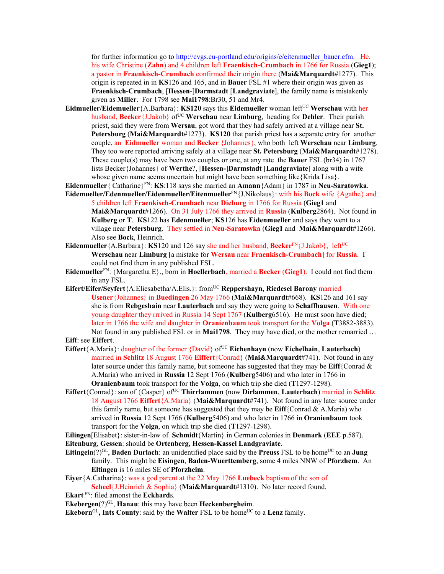for further information go to http://cvgs.cu-portland.edu/origins/e/eitenmueller\_bauer.cfm. He, his wife Christine (**Zahn**) and 4 children left **Fraenkisch-Crumbach** in 1766 for Russia (**Gieg1**); a pastor in **Fraenkisch-Crumbach** confirmed their origin there (**Mai&Marquardt**#1277). This origin is repeated in in **KS**126 and 165, and in **Bauer** FSL #1 where their origin was given as **Fraenkisch-Crumbach**, [**Hessen**-]**Darmstadt** [**Landgraviate**], the family name is mistakenly given as **Miller**. For 1798 see **Mai1798**:Br30, 51 and Mr4.

- **Eidmueller/Eidemueller**{A.Barbara}: **KS120** says this **Eidemueller** woman leftUC **Werschau** with her husband, Becker<sup>{J</sup>.Jakob} of<sup>UC</sup> Werschau near **Limburg**, heading for **Dehler**. Their parish priest, said they were from **Wersau**, got word that they had safely arrived at a village near **St. Petersburg** (**Mai&Marquardt**#1273). **KS120** that parish priest has a separate entry for another couple, an **Eidmueller** woman and **Becker** {Johannes}, who both left **Werschau** near **Limburg**. They too were reported arriving safely at a village near **St. Petersburg** (**Mai&Marquardt**#1278). These couple(s) may have been two couples or one, at any rate the **Bauer** FSL (br34) in 1767 lists Becker{Johannes} of **Werthe**?, [**Hessen-**]**Darmstadt** [**Landgraviate**] along with a wife whose given name seems uncertain but might have been something like {Krida Lisa}.
- **Eidenmueller**{ Catharine}FN: **KS**:118 says she married an **Amann**{Adam} in 1787 in **Neu-Saratowka**.
- **Eidemueller/Edenmueller/Eidenmueller/Eitenmueller**FN{J.Nikolaus}: with his **Bock** wife {Agathe} and 5 children left **Fraenkisch-Crumbach** near **Dieburg** in 1766 for Russia (**Gieg1** and **Mai&Marquardt**#1266). On 31 July 1766 they arrived in **Russia** (**Kulberg**2864). Not found in **Kulberg** or **T**. **KS**122 has **Edenmueller**; **KS**126 has **Eidenmueller** and says they went to a village near **Petersburg**. They settled in **Neu-Saratowka** (**Gieg1** and **Mai&Marquardt**#1266). Also see **Bock**, Heinrich.
- **Eidenmueller** {A.Barbara}: **KS**120 and 126 say she and her husband, **Becker**<sup>FN</sup> {J.Jakob}, left<sup>UC</sup> **Werschau** near **Limburg** [a mistake for **Wersau** near **Fraenkisch-Crumbach**] for **Russia**. I could not find them in any published FSL.
- **Eidemueller**FN: {Margaretha E}., born in **Hoellerbach**, married a **Becker** (**Gieg1**). I could not find them in any FSL.
- **Eifert/Eifer/Seyfert**{A.Eliesabetha/A.Elis.}: fromUC **Reppershayn, Riedesel Barony** married **Usener**{Johannes} in **Buedingen** 26 May 1766 (**Mai&Marquardt**#668). **KS**126 and 161 say she is from **Rebgeshain** near **Lauterbach** and say they were going to **Schaffhausen**. With one young daughter they rrrived in Russia 14 Sept 1767 (**Kulberg**6516). He must soon have died; later in 1766 the wife and daughter in **Oranienbaum** took transport for the **Volga** (**T**3882-3883). Not found in any published FSL or in **Mai1798**. They may have died, or the mother remarried …
- **Eiff**: see **Eiffert**.
- **Eiffert**{A.Maria}: daughter of the former {David} of<sup>UC</sup> **Eichenhayn** (now **Eichelhain**, **Lauterbach**) married in **Schlitz** 18 August 1766 **Eiffert**{Conrad} (**Mai&Marquardt**#741). Not found in any later source under this family name, but someone has suggested that they may be **Eiff**{Conrad & A.Maria) who arrived in **Russia** 12 Sept 1766 (**Kulberg**5406) and who later in 1766 in **Oranienbaum** took transport for the **Volga**, on which trip she died (**T**1297-1298).
- **Eiffert**{Conrad}: son of {Casper} of<sup>UC</sup> **Thirrlammen** (now **Dirlammen**, **Lauterbach**) married in **Schlitz** 18 August 1766 **Eiffert**{A.Maria} (**Mai&Marquardt**#741). Not found in any later source under this family name, but someone has suggested that they may be  $\text{Eiff}\{\text{Conrad } \& A.\text{Maria}\}$  who arrived in **Russia** 12 Sept 1766 (**Kulberg**5406) and who later in 1766 in **Oranienbaum** took transport for the **Volga**, on which trip she died (**T**1297-1298).

**Eilingen**[Elisabet}: sister-in-law of **Schmidt**{Martin} in German colonies in **Denmark** (**EEE** p.587). **Eitenburg**, **Gessen**: should be **Ortenberg, Hessen-Kassel Landgraviate**.

- **Eitingein**(?)<sup>GL</sup>, **Baden Durlach**: an unidentified place said by the **Preuss** FSL to be home<sup>UC</sup> to an **Jung** family. This might be **Eisingen**, **Baden-Wuerttemberg**, some 4 miles NNW of **Pforzhem**. An **Eltingen** is 16 miles SE of **Pforzheim**.
- **Eiyer**{A.Catharina}: was a god parent at the 22 May 1766 **Luebeck** baptism of the son of **Scheel**{J.Heinrich & Sophia} (**Mai&Marquardt**#1310). No later record found.
- **Ekart** FN: filed amonst the **Eckhard**s.
- **Ekebergen**(?)<sup>GL</sup>, **Hanau**: this may have been **Heckenbergheim**.

**Ekeborn**<sup>GL</sup>, Ints County: said by the Walter FSL to be home<sup>UC</sup> to a Lenz family.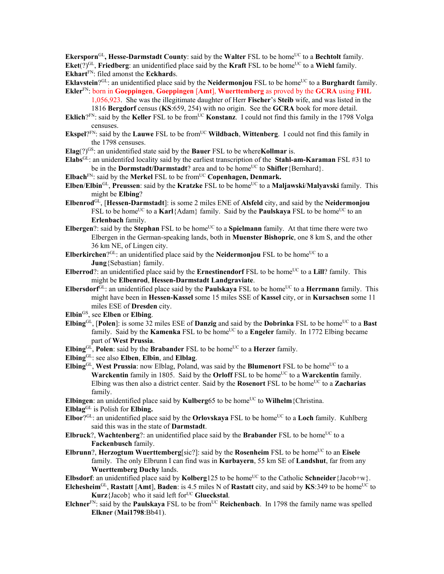**Ekersporn**<sup>GL</sup>, Hesse-Darmstadt County: said by the Walter FSL to be home<sup>UC</sup> to a Bechtolt family. **Eket**(?)<sup>GL</sup>, **Friedberg**: an unidentified place said by the **Kraft** FSL to be home<sup>UC</sup> to a **Wiehl** family. **Ekhart**FN: filed amonst the **Eckhard**s.

**Eklaystein**? $G<sup>L</sup>$ : an unidentified place said by the **Neidermoniou** FSL to be home<sup>UC</sup> to a **Burghardt** family. **Ekler**FN: born in **Goeppingen**, **Goeppingen** [**Amt**], **Wuerttemberg** as proved by the **GCRA** using **FHL**

1,056,923. She was the illegitimate daughter of Herr **Fischer**'s **Steib** wife, and was listed in the 1816 **Bergdorf** census (**KS**:659, 254) with no origin. See the **GCRA** book for more detail.

- **Eklich**? $F_N$ : said by the **Keller** FSL to be from<sup>UC</sup> **Konstanz**. I could not find this family in the 1798 Volga censuses.
- **Ekspel**? $F_N$ : said by the **Lauwe** FSL to be from<sup>UC</sup> **Wildbach**, **Wittenberg**. I could not find this family in the 1798 censuses.

**Elag**(?)GS: an unidentified state said by the **Bauer** FSL to be where**Kollmar** is.

**Elabs**GL: an unidentifed locality said by the earliest transcription of the **Stahl-am-Karaman** FSL #31 to be in the **Dormstadt/Darmstadt**? area and to be home<sup>UC</sup> to **Shifler** {Bernhard}.

- **Elbach**FN: said by the **Merkel** FSL to be fromUC **Copenhagen, Denmark.**
- **Elben/Elbin**<sup>GL</sup>, **Preussen**: said by the **Kratzke** FSL to be home<sup>UC</sup> to a **Maljawski/Malyavski** family. This might be **Elbing**?
- **Elbenrod**GL, [**Hessen-Darmstadt**]: is some 2 miles ENE of **Alsfeld** city, and said by the **Neidermonjou** FSL to be home<sup>UC</sup> to a **Karl**{Adam} family. Said by the **Paulskaya** FSL to be home<sup>UC</sup> to an **Erlenbach** family.
- **Elbergen**?: said by the **Stephan** FSL to be home<sup>UC</sup> to a **Spielmann** family. At that time there were two Elbergen in the German-speaking lands, both in **Muenster Bishopric**, one 8 km S, and the other 36 km NE, of Lingen city.
- **Elberkirchen**? $G<sup>L</sup>$ : an unidentified place said by the **Neidermonjou** FSL to be home<sup>UC</sup> to a **Jung**{Sebastian} family.
- **Elberrod**?: an unidentified place said by the **Ernestinendorf** FSL to be home<sup>UC</sup> to a Lill? family. This might be **Elbenrod**, **Hessen-Darmstadt Landgraviate**.
- **Elbersdorf**<sup>GL</sup>: an unidentified place said by the **Paulskaya** FSL to be home<sup>UC</sup> to a **Herrmann** family. This might have been in **Hessen-Kassel** some 15 miles SSE of **Kassel** city, or in **Kursachsen** some 11 miles ESE of **Dresden** city.
- **Elbin**GS, see **Elben** or **Elbing**.
- **Elbing**GL, [Polen]: is some  $32$  miles ESE of **Danzig** and said by the **Dobrinka** FSL to be home<sup>UC</sup> to a **Bast** family. Said by the **Kamenka** FSL to be home<sup>UC</sup> to a **Engeler** family. In 1772 Elbing became part of **West Prussia**.
- **Elbing** $GL$ , **Polen**: said by the **Brabander** FSL to be home<sup>UC</sup> to a **Herzer** family.

**Elbing**GL: see also **Elben**, **Elbin**, and **Elblag**.

**Elbing**<sup>GL</sup>, **West Prussia**: now Elblag, Poland, was said by the **Blumenort** FSL to be home<sup>UC</sup> to a **Warckentin** family in 1805. Said by the **Orloff** FSL to be home<sup>UC</sup> to a **Warckentin** family. Elbing was then also a district center. Said by the **Rosenort** FSL to be home<sup>UC</sup> to a **Zacharias** family.

- **Elbingen**: an unidentified place said by **Kulberg**65 to be home<sup>UC</sup> to **Wilhelm** {Christina.
- **Elblag**GL is Polish for **Elbing.**
- **Elbor**?<sup>GL:</sup> an unidentified place said by the **Orlovskaya** FSL to be home<sup>UC</sup> to a **Loch** family. Kuhlberg said this was in the state of **Darmstadt**.
- **Elbruck**?, Wachtenberg?: an unidentified place said by the Brabander FSL to be home<sup>UC</sup> to a **Fackenbusch** family.
- **Elbrunn**?, **Herzogtum Wuerttemberg**[sic?]: said by the **Rosenheim** FSL to be home<sup>UC</sup> to an **Eisele** family. The only Elbrunn I can find was in **Kurbayern**, 55 km SE of **Landshut**, far from any **Wuerttemberg Duchy** lands.

**Elbsdorf**: an unidentified place said by **Kolberg**125 to be home<sup>UC</sup> to the Catholic **Schneider** {Jacob+w}.

- **Elchesheim**<sup>GL</sup>, **Rastatt** [Amt], **Baden**: is 4.5 miles N of **Rastatt** city, and said by **KS**:349 to be home<sup>UC</sup> to **Kurz**{Jacob} who it said left for<sup>UC</sup> Glueckstal.
- **Elchner**<sup>FN</sup>: said by the **Paulskaya** FSL to be from<sup>UC</sup> **Reichenbach**. In 1798 the family name was spelled **Elkner** (**Mai1798**:Bb41).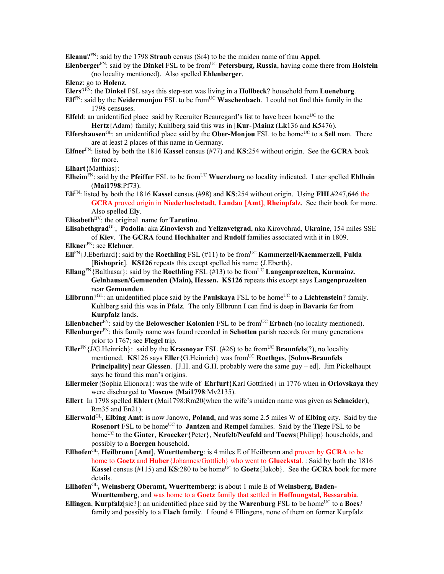**Eleanu**?FN: said by the 1798 **Straub** census (Sr4) to be the maiden name of frau **Appel**.

- **Elenberger**FN: said by the **Dinkel** FSL to be fromUC **Petersburg, Russia**, having come there from **Holstein** (no locality mentioned). Also spelled **Ehlenberger**.
- **Elenz**: go to **Holenz**.
- **Elers**?FN: the **Dinkel** FSL says this step-son was living in a **Hollbeck**? household from **Lueneburg**.
- **Elf**<sup>FN</sup>: said by the **Neidermonjou** FSL to be from<sup>UC</sup> **Waschenbach**. I could not find this family in the 1798 censuses.
- **Elfeld**: an unidentified place said by Recruiter Beauregard's list to have been home<sup>UC</sup> to the **Hertz**{Adam} family; Kuhlberg said this was in [**Kur**-]**Mainz** (**Lk**136 and **K**5476).
- **Elfershausen**<sup>GL</sup>: an unidentified place said by the **Ober-Monjou** FSL to be home<sup>UC</sup> to a **Sell** man. There are at least 2 places of this name in Germany.
- **Elfner**FN: listed by both the 1816 **Kassel** census (#77) and **KS**:254 without origin. See the **GCRA** book for more.
- **Elhart**{Matthias}:
- **Elheim**<sup>FN</sup>: said by the **Pfeiffer** FSL to be from<sup>UC</sup> **Wuerzburg** no locality indicated. Later spelled **Ehlhein** (**Mai1798**:Pf73).
- **Eli**FN: listed by both the 1816 **Kassel** census (#98) and **KS**:254 without origin. Using **FHL**#247,646 the **GCRA** proved origin in **Niederhochstadt**, **Landau** [**Amt**], **Rheinpfalz**. See their book for more. Also spelled **Ely**.
- **Elisabeth**BV: the original name for **Tarutino**.
- **Elisabethgrad**GL, **Podolia**: aka **Zinovievsh** and **Yelizavetgrad**, nka Kirovohrad, **Ukraine**, 154 miles SSE of **Kiev**. The **GCRA** found **Hochhalter** and **Rudolf** families associated with it in 1809.
- **Elkner**FN: see **Elchner**.
- **Ell**FN{J.Eberhard}: said by the **Roethling** FSL (#11) to be fromUC **Kammerzell/Kaemmerzell**, **Fulda**  [**Bishopric**]. **KS126** repeats this except spelled his name {J.Eberth}.
- **Ellang**<sup>FN</sup>{Balthasar}: said by the **Roethling** FSL (#13) to be from<sup>UC</sup> **Langenprozelten, Kurmainz**. **Gelnhausen/Gemuenden (Main), Hessen. KS126** repeats this except says **Langenprozelten** near **Gemuenden**.
- **Ellbrunn**<sup>?GL</sup>: an unidentified place said by the **Paulskaya** FSL to be home<sup>UC</sup> to a **Lichtenstein**? family. Kuhlberg said this was in **Pfalz**. The only Ellbrunn I can find is deep in **Bavaria** far from **Kurpfalz** lands.
- **Ellenbacher**<sup>FN</sup>: said by the **Belowescher Kolonien** FSL to be from<sup>UC</sup> **Erbach** (no locality mentioned).
- **Ellenburger**FN: this family name was found recorded in **Schotten** parish records for many generations prior to 1767; see **Flegel** trip.
- **Eller**<sup>FN</sup> $\{J/G.Heinrich\}$ : said by the **Krasnoyar** FSL (#26) to be from<sup>UC</sup> **Braunfels**(?), no locality mentioned. **KS**126 says **Eller**{G.Heinrich} was fromUC **Roethges**, [**Solms-Braunfels Principality**] near **Giessen**. [J.H. and G.H. probably were the same guy – ed]. Jim Pickelhaupt says he found this man's origins.
- **Ellermeier**{Sophia Elionora}: was the wife of **Ehrfurt**{Karl Gottfried} in 1776 when in **Orlovskaya** they were discharged to **Moscow** (**Mai1798**:Mv2135).
- **Ellert** In 1798 spelled **Ehlert** (Mai1798:Rm20(when the wife's maiden name was given as **Schneider**), Rm35 and En21).
- **Ellerwald**GL, **Elbing Amt**: is now Janowo, **Poland**, and was some 2.5 miles W of **Elbing** city. Said by the **Rosenort** FSL to be home<sup>UC</sup> to **Jantzen** and **Rempel** families. Said by the **Tiege** FSL to be homeUC to the **Ginter**, **Kroecker**{Peter}, **Neufelt/Neufeld** and **Toews**{Philipp} households, and possibly to a **Baergen** household.
- **Ellhofen**GL, **Heilbronn** [**Amt**], **Wuerttemberg**: is 4 miles E of Heilbronn and proven by **GCRA** to be home to **Goetz** and **Huber**{Johannes/Gottlieb} who went to **Glueckstal**. : Said by both the 1816 **Kassel** census (#115) and **KS**:280 to be home<sup>UC</sup> to **Goetz**{Jakob}. See the **GCRA** book for more details.
- **Ellhofen**GL**, Weinsberg Oberamt, Wuerttemberg**: is about 1 mile E of **Weinsberg, Baden-Wuerttemberg**, and was home to a **Goetz** family that settled in **Hoffnungstal, Bessarabia**.
- **Ellingen**, **Kurpfalz**[sic?]: an unidentified place said by the **Warenburg** FSL to be home<sup>UC</sup> to a **Boes**? family and possibly to a **Flach** family. I found 4 Ellingens, none of them on former Kurpfalz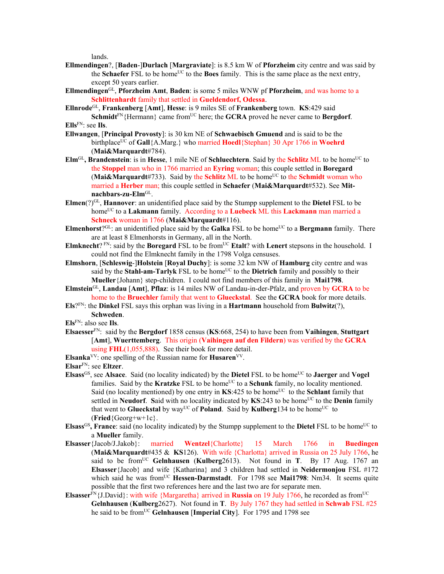lands.

- **Ellmendingen**?, [**Baden**-]**Durlach** [**Margraviate**]: is 8.5 km W of **Pforzheim** city centre and was said by the **Schaefer** FSL to be home<sup>UC</sup> to the **Boes** family. This is the same place as the next entry, except 50 years earlier.
- **Ellmendingen**GL, **Pforzheim Amt**, **Baden**: is some 5 miles WNW pf **Pforzheim**, and was home to a **Schlittenhardt** family that settled in **Gueldendorf, Odessa**.
- **Ellnrode**GL, **Frankenberg** [**Amt**], **Hesse**: is 9 miles SE of **Frankenberg** town. **KS**:429 said **Schmidt**<sup>FN</sup>{Hermann} came from<sup>UC</sup> here; the **GCRA** proved he never came to **Bergdorf**.

- **Ellwangen**, [**Principal Provosty**]: is 30 km NE of **Schwaebisch Gmuend** and is said to be the birthplace<sup>UC</sup> of Gall{A.Marg.} who married **Hoedl**{Stephan} 30 Apr 1766 in **Woehrd** (**Mai&Marquardt**#784).
- **Elm**<sup>GL</sup>, Brandenstein: is in Hesse, 1 mile NE of Schluechtern. Said by the Schlitz ML to be home<sup>UC</sup> to the **Stoppel** man who in 1766 married an **Eyring** woman; this couple settled in **Boregard**   $(Mai&Marguardt#733)$ . Said by the **Schlitz** ML to be home<sup>UC</sup> to the **Schmidt** woman who married a **Herber** man; this couple settled in **Schaefer** (**Mai&Marquardt**#532). See **Mitnachbars-zu-Elm**GL.
- **Elmen**(?)GL, **Hannover**: an unidentified place said by the Stumpp supplement to the **Dietel** FSL to be home<sup>UC</sup> to a **Lakmann** family. According to a **Luebeck** ML this **Lackmann** man married a **Schneck** woman in 1766 (**Mai&Marquardt**#116).
- **Elmenhorst**?<sup>GL</sup>: an unidentified place said by the **Galka** FSL to be home<sup>UC</sup> to a **Bergmann** family. There are at least 8 Elmenhorsts in Germany, all in the North.
- Elmknecht? FN: said by the Boregard FSL to be from<sup>UC</sup> Etalt? with Lenert stepsons in the household. I could not find the Elmknecht family in the 1798 Volga censuses.
- **Elmshorn**, [**Schleswig**-]**Holstein** [**Royal Duchy**]: is some 32 km NW of **Hamburg** city centre and was said by the **Stahl-am-Tarlyk** FSL to be home<sup>UC</sup> to the **Dietrich** family and possibly to their **Mueller**{Johann} step-children. I could not find members of this family in **Mai1798**.
- **Elmstein**GL, **Landau** [**Amt**], **Pflaz**: is 14 miles NW of Landau-in-der-Pfalz, and proven by **GCRA** to be home to the **Bruechler** family that went to **Glueckstal**. See the **GCRA** book for more details.
- **Els**?FN: the **Dinkel** FSL says this orphan was living in a **Hartmann** household from **Bulwitz**(?), **Schweden**.

**Els**FN: also see **Ils**.

**Elsaesser**FN: said by the **Bergdorf** 1858 census (**KS**:668, 254) to have been from **Vaihingen**, **Stuttgart** [**Amt**], **Wuerttemberg**. This origin (**Vaihingen auf den Fildern**) was verified by the **GCRA** using **FHL**(1,055,888). See their book for more detail.

**Elsanka**VV: one spelling of the Russian name for **Husaren**VV.

**Elsar**FN: see **Eltzer**.

- **Elsass**<sup>GS</sup>, see **Alsace**. Said (no locality indicated) by the **Dietel** FSL to be home<sup>UC</sup> to **Jaerger** and **Vogel** families. Said by the **Kratzke** FSL to be home<sup>UC</sup> to a **Schunk** family, no locality mentioned. Said (no locality mentioned) by one entry in  $KS:425$  to be home<sup>UC</sup> to the **Schlant** family that settled in **Neudorf**. Said with no locality indicated by KS:243 to be home<sup>UC</sup> to the **Denin** family that went to **Glueckstal** by way<sup>UC</sup> of **Poland**. Said by **Kulberg**134 to be home<sup>UC</sup> to (**Fried**{Georg+w+1c}.
- **Elsass<sup>GS</sup>, France**: said (no locality indicated) by the Stumpp supplement to the **Dietel** FSL to be home<sup>UC</sup> to a **Mueller** family.
- **Elsasser**{Jacob/J.Jakob}: married **Wentzel**{Charlotte} 15 March 1766 in **Buedingen** (**Mai&Marquardt**#435 & **KS**126). With wife {Charlotta} arrived in Russia on 25 July 1766, he said to be fromUC **Gelnhausen** (**Kulberg**2613). Not found in **T**. By 17 Aug. 1767 an **Elsasser**{Jacob} and wife {Katharina} and 3 children had settled in **Neidermonjou** FSL #172 which said he was from<sup>UC</sup> Hessen-Darmstadt. For 1798 see Mai1798: Nm34. It seems quite possible that the first two references here and the last two are for separate men.
- **Elsasser**<sup>FN</sup>{J.David}: with wife {Margaretha} arrived in **Russia** on 19 July 1766, he recorded as from<sup>UC</sup> **Gelnhausen** (**Kulberg**2627). Not found in **T**. By July 1767 they had settled in **Schwab** FSL #25 he said to be fromUC **Gelnhausen** [**Imperial City**]. For 1795 and 1798 see

**Ells**FN: see **Ils**.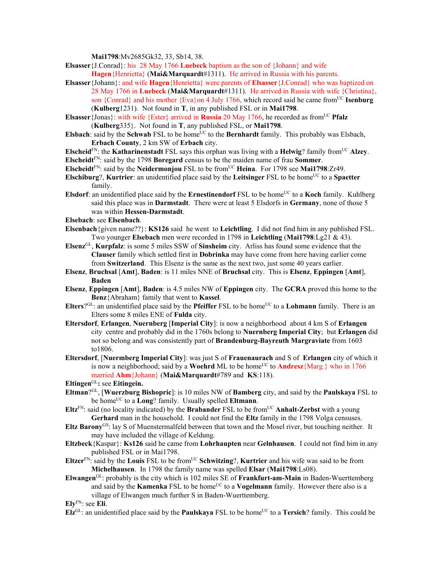**Mai1798**:Mv2685Gk32, 33, Sb14, 38.

- **Elsasser**{J.Conrad}: his 28 May 1766 **Luebeck** baptism as the son of {Johann} and wife
	- **Hagen**{Henrietta} (**Mai&Marquardt**#1311). He arrived in Russia with his parents.
- **Elsasser**{Johann}: and wife **Hagen**{Henrietta} were parents of **Elsasser**{J.Conrad} who was baptized on 28 May 1766 in **Luebeck** (**Mai&Marquardt**#1311). He arrived in Russia with wife {Christina}, son {Conrad} and his mother {Eva}on 4 July 1766, which record said he came fromUC **Isenburg** (**Kulberg**1231). Not found in **T**, in any published FSL or in **Mai1798**.
- **Elsasser** {Jonas}: with wife {Ester} arrived in **Russia** 20 May 1766, he recorded as from<sup>UC</sup> **Pfalz** (**Kulberg**335}. Not found in **T**, any published FSL, or **Mai1798**.
- **Elsbach**: said by the **Schwab** FSL to be home<sup>UC</sup> to the **Bernhardt** family. This probably was Elsbach, **Erbach County**, 2 km SW of **Erbach** city.
- **Elscheid**<sup>FN</sup>: the **Katharinenstadt** FSL says this orphan was living with a **Helwig**? family from<sup>UC</sup> Alzey.
- **Elscheidt**FN: said by the 1798 **Boregard** census to be the maiden name of frau **Sommer**.
- **Elscheidt**FN: said by the **Neidermonjou** FSL to be fromUC **Heina**. For 1798 see **Mai1798**:Zr49.
- **Elschiburg**?, **Kurtrier**: an unidentified place said by the **Leitsinger** FSL to be home<sup>UC</sup> to a **Spaetter** family.
- **Elsdorf**: an unidentified place said by the **Ernestinendorf** FSL to be home<sup>UC</sup> to a **Koch** family. Kuhlberg said this place was in **Darmstadt**. There were at least 5 Elsdorfs in **Germany**, none of those 5 was within **Hessen-Darmstadt**.
- **Elsebach**: see **Elsenbach**.
- **Elsenbach**{given name??}: **KS126** said he went to **Leichtling**. I did not find him in any published FSL. Two younger **Elsebach** men were recorded in 1798 in **Leichtling** (**Mai1798**:Lg21 & 43).
- **Elsenz**GL, **Kurpfalz**: is some 5 miles SSW of **Sinsheim** city. Arliss has found some evidence that the **Clauser** family which settled first in **Dobrinka** may have come from here having earlier come from **Switzerland**.This Elsenz is the same as the next two, just some 40 years earlier.
- **Elsenz**, **Bruchsal** [**Amt**], **Baden**: is 11 miles NNE of **Bruchsal** city. This is **Elsenz**, **Eppingen** [**Amt**], **Baden**
- **Elsenz**, **Eppingen** [**Amt**], **Baden**: is 4.5 miles NW of **Eppingen** city. The **GCRA** proved this home to the **Benz**{Abraham} family that went to **Kassel**.
- **Elters**?<sup>GL</sup>: an unidentified place said by the **Pfeiffer** FSL to be home<sup>UC</sup> to a **Lohmann** family. There is an Elters some 8 miles ENE of **Fulda** city.
- **Eltersdorf**, **Erlangen**, **Nuernberg** [**Imperial City**]: is now a neighborhood about 4 km S of **Erlangen** city centre and probably did in the 1760s belong to **Nuernberg Imperial City**; but **Erlangen** did not so belong and was consistently part of **Brandenburg-Bayreuth Margraviate** from 1603 to1806.
- **Eltersdorf**, [**Nuermberg Imperial City**]: was just S of **Frauenaurach** and S of **Erlangen** city of which it is now a neighborhood; said by a **Woehrd** ML to be home<sup>UC</sup> to **Andresz**{Marg.} who in 1766 married **Ahm**{Johann} (**Mai&Marquardt**#789 and **KS**:118).
- **Eltingen**GL**:** see **Eitingein.**
- **Eltman**?GL, [**Wuerzburg Bishopric**]: is 10 miles NW of **Bamberg** city, and said by the **Paulskaya** FSL to be home<sup>UC</sup> to a **Long**? family. Usually spelled **Eltmann**.
- $E$ **Itz**<sup>FN</sup>: said (no locality indicated) by the **Brabander** FSL to be from<sup>UC</sup> **Anhalt-Zerbst** with a young **Gerhard** man in the household. I could not find the **Eltz** family in the 1798 Volga censuses.
- **Eltz Barony**GS: lay S of Muenstermalfeld between that town and the Mosel river, but touching neither. It may have included the village of Keldung.
- **Eltzbeck**{Kaspar}: **Ks126** said he came from **Lohrhaupten** near **Gelnhausen**. I could not find him in any published FSL or in Mai1798.
- **Eltzer**<sup>FN</sup>: said by the **Louis** FSL to be from<sup>UC</sup> **Schwitzing**?, **Kurtrier** and his wife was said to be from **Michelhausen**. In 1798 the family name was spelled **Elsar** (**Mai1798**:Ls08).
- **Elwangen**GL: probably is the city which is 102 miles SE of **Frankfurt-am-Main** in Baden-Wuerttemberg and said by the **Kamenka** FSL to be home<sup>UC</sup> to a **Vogelmann** family. However there also is a village of Elwangen much further S in Baden-Wuerttemberg.

**Ely**FN: see **Eli**.

**Elz**<sup>GL</sup>: an unidentified place said by the **Paulskaya** FSL to be home<sup>UC</sup> to a **Tersich**? family. This could be